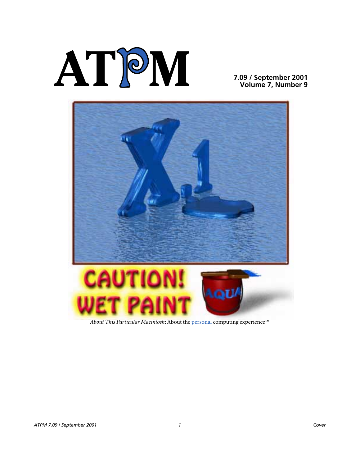# **AT**P**M**

**7.09 / September 2001 Volume 7, Number 9**



*About This Particular Macintosh*: About the personal computing experience™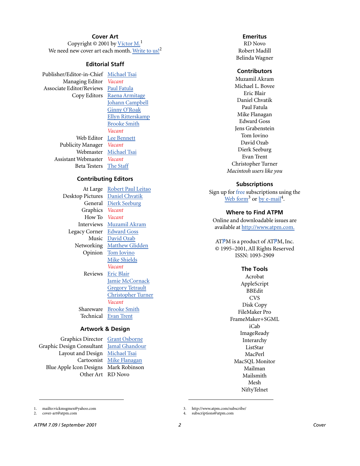# **Cover Art**

Copyright  $\odot$  2001 by [Víctor M.](mailto:vickmsgmex@yahoo.com)<sup>1</sup> We need new cover art each month. [Write to us!](mailto:cover-art@atpm.com)<sup>2</sup>

# **Editorial Staff**

Publisher/Editor-in-Chief [Michael Tsai](mailto:mtsai@atpm.com) Managing Editor *Vacant* Associate Editor/Reviews [Paul Fatula](mailto:pfatula@atpm.com)

Copy Editors [Raena Armitage](mailto:rarmitage@atpm.com) [Johann Campbell](mailto:jcampbell@atpm.com) [Ginny O'Roak](mailto:goroak@atpm.com) [Ellyn Ritterskamp](mailto:eritterskamp@atpm.com) [Brooke Smith](mailto:bsmith@atpm.com) *Vacant* Web Editor [Lee Bennett](mailto:lbennett@atpm.com) Publicity Manager *Vacant* Webmaster [Michael Tsai](mailto:mtsai@atpm.com) Assistant Webmaster *Vacant* Beta Testers [The Staff](mailto:editor@atpm.com)

## **Contributing Editors**

At Large Robert Paul Leitao Desktop Pictures [Daniel Chvatik](mailto:dchvatik@atpm.com) Graphics *Vacant* How To *Vacant* Legacy Corner [Edward Goss](mailto:egoss@atpm.com)

General [Dierk Seeburg](mailto:dseeburg@atpm.com) Interviews [Muzamil Akram](mailto:makram@atpm.com) Music [David Ozab](mailto:dozab@atpm.com) Networking [Matthew Glidden](mailto:mglidden@atpm.com) Opinion [Tom Iovino](mailto:tiovino@atpm.com) [Mike Shields](mailto:mshields@atpm.com) *Vacant* Reviews [Eric Blair](mailto:eblair@atpm.com) [Jamie McCornack](mailto:jmccornack@atpm.com) [Gregory Tetrault](mailto:gtetrault@atpm.com) [Christopher Turner](mailto:cturner@atpm.com) *Vacant* Shareware [Brooke Smith](mailto:bsmith@atpm.com)

**Artwork & Design**

Technical [Evan Trent](mailto:etrent@atpm.com)

Graphics Director [Grant Osborne](mailto:gosborne@atpm.com) Graphic Design Consultant [Jamal Ghandour](mailto:jghandour@atpm.com) Layout and Design [Michael Tsai](mailto:mtsai@atpm.com) Cartoonist [Mike Flanagan](mailto:sensible@sensible.screaming.net) Blue Apple Icon Designs Mark Robinson Other Art RD Novo

## **Emeritus**

RD Novo Robert Madill Belinda Wagner

# **Contributors**

Muzamil Akram Michael L. Bovee Eric Blair Daniel Chvatik Paul Fatula Mike Flanagan Edward Goss Jens Grabenstein Tom Iovino David Ozab Dierk Seeburg Evan Trent Christopher Turner *Macintosh users like you*

## **Subscriptions**

Sign up for free subscriptions using the [Web form](http://www.atpm.com/subscribe/)<sup>3</sup> or [by e-mail](mailto:subscriptions@atpm.com)<sup>4</sup>.

# **Where to Find ATPM**

Online and downloadable issues are available at [http://www.atpm.com.](http://www.atpm.com)

ATPM is a product of ATPM, Inc. © 1995–2001, All Rights Reserved ISSN: 1093-2909

### **The Tools**

Acrobat AppleScript BBEdit **CVS** Disk Copy FileMaker Pro FrameMaker+SGML iCab **ImageReady** Interarchy ListStar MacPerl MacSQL Monitor Mailman Mailsmith Mesh NiftyTelnet

3. http://www.atpm.com/subscribe/

4. subscriptions@atpm.com

1. mailto:vickmsgmex@yahoo.com 2. cover-art@atpm.com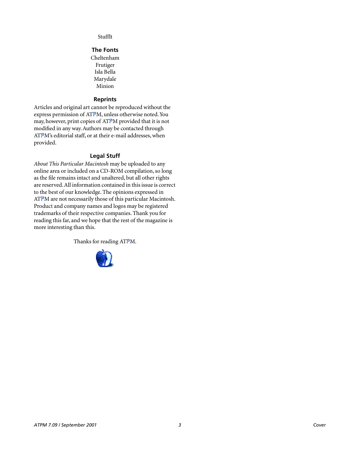StuffIt

# **The Fonts**

Cheltenham Frutiger Isla Bella Marydale Minion

# **Reprints**

Articles and original art cannot be reproduced without the express permission of ATPM, unless otherwise noted. You may, however, print copies of ATPM provided that it is not modified in any way. Authors may be contacted through ATPM's editorial staff, or at their e-mail addresses, when provided.

# **Legal Stuff**

*About This Particular Macintosh* may be uploaded to any online area or included on a CD-ROM compilation, so long as the file remains intact and unaltered, but all other rights are reserved. All information contained in this issue is correct to the best of our knowledge. The opinions expressed in ATPM are not necessarily those of this particular Macintosh. Product and company names and logos may be registered trademarks of their respective companies. Thank you for reading this far, and we hope that the rest of the magazine is more interesting than this.

Thanks for reading ATPM.

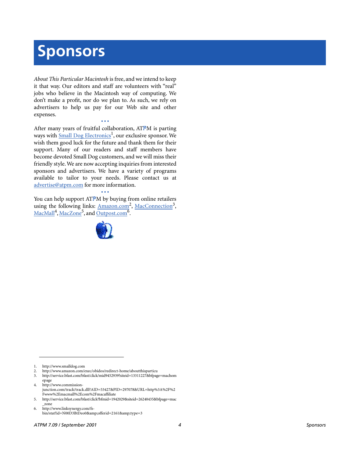# **Sponsors**

*About This Particular Macintosh* is free, and we intend to keep it that way. Our editors and staff are volunteers with "real" jobs who believe in the Macintosh way of computing. We don't make a profit, nor do we plan to. As such, we rely on advertisers to help us pay for our Web site and other expenses.

**• • •** After many years of fruitful collaboration, ATPM is parting ways with **[Small Dog Electronics](http://www.smalldog.com)<sup>1</sup>**, our exclusive sponsor. We wish them good luck for the future and thank them for their support. Many of our readers and staff members have become devoted Small Dog customers, and we will miss their friendly style. We are now accepting inquiries from interested sponsors and advertisers. We have a variety of programs available to tailor to your needs. Please contact us at [advertise@atpm.com](mailto:advertise@atpm.com) for more information.

**• • •** You can help support ATPM by buying from online retailers using the following links: Amazon.com<sup>2</sup>, MacConnection<sup>3</sup>, [MacMall](http://www.commission-junction.com/track/track.dll?AID=53427&PID=297078&URL=http%3A%2F%2Fwww%2Emacmall%2Ecom%2Fmacaffiliate)<sup>4</sup>, MacZone<sup>5</sup>, and [Outpost.com](http://www.linksynergy.com/fs-bin/stat?id=N00D3BtDeo0&offerid=2161&type=3)<sup>6</sup>.



4. http://www.commissionjunction.com/track/track.dll?AID=53427&PID=297078&URL=http%3A%2F%2 Fwww%2Emacmall%2Ecom%2Fmacaffiliate

5. http://service.bfast.com/bfast/click?bfmid=1942029&siteid=26240435&bfpage=mac \_zone

6. http://www.linksynergy.com/fsbin/stat?id=N00D3BtDeo0&offerid=2161&type=3

<sup>1.</sup> http://www.smalldog.com

<sup>2.</sup> http://www.amazon.com/exec/obidos/redirect-home/aboutthisparticu

<sup>3.</sup> http://service.bfast.com/bfast/click/mid9452939?siteid=13311227&bfpage=machom epage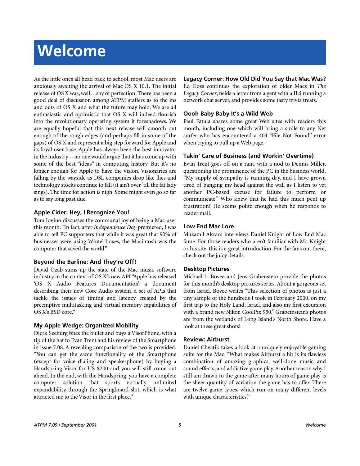# **Welcome**

As the little ones all head back to school, most Mac users are anxiously awaiting the arrival of Mac OS X 10.1. The initial release of OS X was, well…shy of perfection. There has been a good deal of discussion among ATPM staffers as to the ins and outs of OS X and what the future may hold. We are all enthusiastic and optimistic that OS X will indeed flourish into the revolutionary operating system it foreshadows. We are equally hopeful that this next release will smooth out enough of the rough edges (and perhaps fill in some of the gaps) of OS X and represent a big step forward for Apple and its loyal user base. Apple has always been the best innovator in the industry—no one would argue that it has come up with some of the best "ideas" in computing history. But it's no longer enough for Apple to have the vision. Visionaries are falling by the wayside as DSL companies drop like flies and technology stocks continue to fall (it ain't over 'till the fat lady sings). The time for action is nigh. Some might even go so far as to say long past due.

# **Apple Cider: Hey, I Recognize You!**

Tom Iovino discusses the communal joy of being a Mac user this month. "In fact, after *Independence Day* premiered, I was able to tell PC supporters that while it was great that 90% of businesses were using Wintel boxes, the Macintosh was the computer that saved the world."

# **Beyond the Barline: And They're Off!**

David Ozab sums up the state of the Mac music software industry in the context of OS X's new API "Apple has released 'OS X Audio Features Documentation' a document describing their new Core Audio system, a set of APIs that tackle the issues of timing and latency created by the preemptive multitasking and virtual memory capabilities of OS X's BSD core."

# **My Apple Wedge: Organized Mobility**

Dierk Seeburg bites the bullet and buys a VisorPhone, with a tip of the hat to Evan Trent and his review of the Smartphone in issue 7.08. A revealing comparison of the two is provided. "You can get the same functionality of the Smartphone (except for voice dialing and speakerphone) by buying a Handspring Visor for US \$200 and you will still come out ahead. In the end, with the Handspring, you have a complete computer solution that sports virtually unlimited expandability through the Springboard slot, which is what attracted me to the Visor in the first place."

# **Legacy Corner: How Old Did You Say that Mac Was?**

Ed Goss continues the exploration of older Macs in *The Legacy Corner*, fields a letter from a gent with a IIci running a network chat server, and provides some tasty trivia treats.

# **Oooh Baby Baby It's a Wild Web**

Paul Fatula shares some great Web sites with readers this month, including one which will bring a smile to any Net surfer who has encountered a 404 "File Not Found" error when trying to pull up a Web page.

# **Takin' Care of Business (and Workin' Overtime)**

Evan Trent goes off on a rant, with a nod to Dennis Miller, questioning the prominence of the PC in the business world. "My supply of sympathy is running dry, and I have grown tired of banging my head against the wall as I listen to yet another PC-based excuse for failure to perform or communicate." Who knew that he had this much pent up frustration? He seems polite enough when he responds to reader mail.

# **Low End Mac Lore**

Muzamil Akram interviews Daniel Knight of Low End Mac fame. For those readers who aren't familiar with Mr. Knight or his site, this is a great introduction. For the fans out there, check out the juicy details.

# **Desktop Pictures**

Michael L. Bovee and Jens Grabenstein provide the photos for this month's desktop pictures series. About a gorgeous set from Israel, Bovee writes "This selection of photos is just a tiny sample of the hundreds I took in February 2000, on my first trip to the Holy Land, Israel, and also my first excursion with a brand new Nikon CoolPix 950." Grabeinstein's photos are from the wetlands of Long Island's North Shore. Have a look at these great shots!

## **Review: Airburst**

Daniel Chvatik takes a look at a uniquely enjoyable gaming suite for the Mac. "What makes Airburst a hit is its flawless combination of amazing graphics, well-done music and sound effects, and addictive game play. Another reason why I still am drawn to the game after many hours of game play is the sheer quantity of variation the game has to offer. There are twelve game types, which run on many different levels with unique characteristics."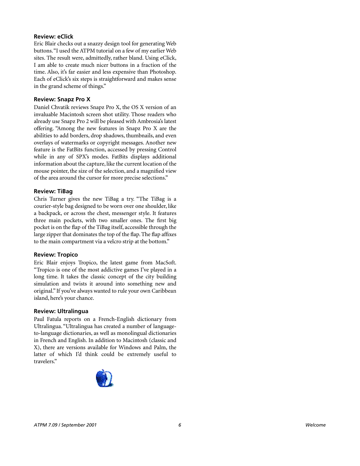# **Review: eClick**

Eric Blair checks out a snazzy design tool for generating Web buttons. "I used the ATPM tutorial on a few of my earlier Web sites. The result were, admittedly, rather bland. Using eClick, I am able to create much nicer buttons in a fraction of the time. Also, it's far easier and less expensive than Photoshop. Each of eClick's six steps is straightforward and makes sense in the grand scheme of things."

# **Review: Snapz Pro X**

Daniel Chvatik reviews Snapz Pro X, the OS X version of an invaluable Macintosh screen shot utility. Those readers who already use Snapz Pro 2 will be pleased with Ambrosia's latest offering. "Among the new features in Snapz Pro X are the abilities to add borders, drop shadows, thumbnails, and even overlays of watermarks or copyright messages. Another new feature is the FatBits function, accessed by pressing Control while in any of SPX's modes. FatBits displays additional information about the capture, like the current location of the mouse pointer, the size of the selection, and a magnified view of the area around the cursor for more precise selections."

# **Review: TiBag**

Chris Turner gives the new TiBag a try. "The TiBag is a courier-style bag designed to be worn over one shoulder, like a backpack, or across the chest, messenger style. It features three main pockets, with two smaller ones. The first big pocket is on the flap of the TiBag itself, accessible through the large zipper that dominates the top of the flap. The flap affixes to the main compartment via a velcro strip at the bottom."

# **Review: Tropico**

Eric Blair enjoys Tropico, the latest game from MacSoft. "Tropico is one of the most addictive games I've played in a long time. It takes the classic concept of the city building simulation and twists it around into something new and original." If you've always wanted to rule your own Caribbean island, here's your chance.

# **Review: Ultralingua**

Paul Fatula reports on a French-English dictionary from Ultralingua. "Ultralingua has created a number of languageto-language dictionaries, as well as monolingual dictionaries in French and English. In addition to Macintosh (classic and X), there are versions available for Windows and Palm, the latter of which I'd think could be extremely useful to travelers."

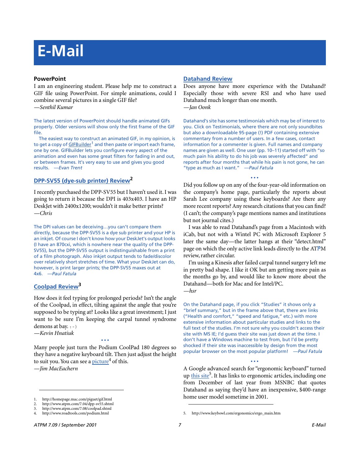# **E-Mail**

# **PowerPoint**

I am an engineering student. Please help me to construct a GIF file using PowerPoint. For simple animations, could I combine several pictures in a single GIF file?

*—Senthil Kumar*

The latest version of PowerPoint should handle animated GIFs properly. Older versions will show only the first frame of the GIF file.

The easiest way to construct an animated GIF, in my opinion, is to get a copy of  $GIFBuilder<sup>1</sup>$  and then paste or import each frame, one by one. GIFBuilder lets you configure every aspect of the animation and even has some great filters for fading in and out, or between frames. It's very easy to use and gives you good results. *—Evan Trent*

# **[DPP-SV55 \(dye-sub printer\) Review](http://www.atpm.com/7.04/dpp-sv55.shtml)2**

I recently purchased the DPP-SV55 but I haven't used it. I was going to return it because the DPI is 403x403. I have an HP DeskJet with 2400x1200; wouldn't it make better prints? *—Chris*

The DPI values can be deceiving…you can't compare them directly, because the DPP-SV55 is a dye sub printer and your HP is an inkjet. Of course I don't know how your DeskJet's output looks (I have an 870cxi, which is nowhere near the quality of the DPP-SV55), but the DPP-SV55 output is indistinguishable from a print of a film photograph. Also inkjet output tends to fade/discolor over relatively short stretches of time. What your DeskJet can do, however, is print larger prints; the DPP-SV55 maxes out at 4x6. *—Paul Fatula*

# **[Coolpad Review3](http://www.atpm.com/7.08/coolpad.shtml)**

How does it feel typing for prolonged periods? Isn't the angle of the Coolpad, in effect, tilting against the angle that you're supposed to be typing at? Looks like a great investment; I just want to be sure I'm keeping the carpal tunnel syndrome demons at bay. :-)

*—Kevin Hnatiuk*

Many people just turn the Podium CoolPad 180 degrees so they have a negative keyboard tilt. Then just adjust the height to suit you. You can see a [picture](http://www.roadtools.com/podium.html)<sup>4</sup> of this.

**• • •**

*—Jim MacEachern*

# **[Datahand Review](http://www.atpm.com/7.05/datahand.shtml)**

Does anyone have more experience with the Datahand? Especially those with severe RSI and who have used Datahand much longer than one month. *—Jan Oonk*

Datahand's site has some testimonials which may be of interest to you. Click on Testimonials, where there are not only soundbites but also a downloadable 95-page (!) PDF containing extensive commentary from a number of users. In a few cases, contact information for a commenter is given. Full names and company names are given as well. One user (pp. 10–11) started off with "so much pain his ability to do his job was severely affected" and reports after four months that while his pain is not gone, he can "type as much as I want." *—Paul Fatula*

**• • •** Did you follow up on any of the four-year-old information on the company's home page, particularly the reports about Sarah Lee company using these keyboards? Are there any more recent reports? Any research citations that you can find? (I can't; the company's page mentions names and institutions but not journal cites.)

I was able to read Datahand's page from a Macintosh with iCab, but not with a Wintel PC with Microsoft Explorer 5 later the same day—the latter hangs at their "detect.html" page on which the only active link leads directly to the ATPM review, rather circular.

I'm using a Kinesis after failed carpal tunnel surgery left me in pretty bad shape. I like it OK but am getting more pain as the months go by, and would like to know more about the Datahand—both for Mac and for Intel/PC. *—hsr*

On the Datahand page, if you click "Studies" it shows only a "brief summary," but in the frame above that, there are links ("Health and comfort," "speed and fatigue," etc.) with more extensive information about particular studies and links to the full text of the studies. I'm not sure why you couldn't access their site with MS IE; I'd guess their site was just down at the time. I don't have a Windows machine to test from, but I'd be pretty shocked if their site was inaccessible by design from the most popular browser on the most popular platform! *—Paul Fatula*

A Google advanced search for "ergonomic keyboard" turned up this site<sup>5</sup>. It has links to ergonomic articles, including one from December of last year from MSNBC that quotes Datahand as saying they'd have an inexpensive, \$400-range home user model sometime in 2001.

**• • •**

<sup>1.</sup> http://homepage.mac.com/piguet/gif.html

<sup>2.</sup> http://www.atpm.com/7.04/dpp-sv55.shtml

<sup>3.</sup> http://www.atpm.com/7.08/coolpad.shtml

<sup>4.</sup> http://www.roadtools.com/podium.html 5. http://www.keybowl.com/ergonomics/ergo\_main.htm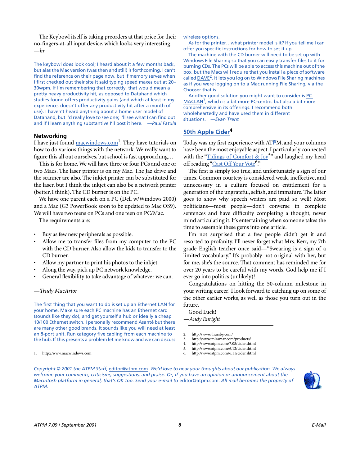The Keybowl itself is taking preorders at that price for their no-fingers-at-all input device, which looks very interesting. *—hr*

The keybowl does look cool; I heard about it a few months back, but alas the Mac version (was then and still) is forthcoming. I can't find the reference on their page now, but if memory serves when I first checked out their site it said typing speed maxes out at 20– 30wpm. If I'm remembering that correctly, that would mean a pretty heavy productivity hit, as opposed to Datahand which studies found offers productivity gains (and which at least in my experience, doesn't offer any productivity hit after a month of use). I haven't heard anything about a home user model of Datahand, but I'd really love to see one; I'll see what I can find out and if I learn anything substantive I'll post it here. *—Paul Fatula*

# **Networking**

I have just found macwindows.com<sup>1</sup>. They have tutorials on how to do various things with the network. We really want to figure this all out ourselves, but school is fast approaching…

This is for home. We will have three or four PCs and one or two Macs. The laser printer is on my Mac. The Jaz drive and the scanner are also. The inkjet printer can be substituted for the laser, but I think the inkjet can also be a network printer (better, I think). The CD burner is on the PC.

We have one parent each on a PC (Dell w/Windows 2000) and a Mac (G3 PowerBook soon to be updated to Mac OS9). We will have two teens on PCs and one teen on PC/Mac.

The requirements are:

- Buy as few new peripherals as possible.
- Allow me to transfer files from my computer to the PC with the CD burner. Also allow the kids to transfer to the CD burner.
- Allow my partner to print his photos to the inkjet.
- Along the way, pick up PC network knowledge.
- General flexibility to take advantage of whatever we can.

# *—Trudy MacArtor*

The first thing that you want to do is set up an Ethernet LAN for your home. Make sure each PC machine has an Ethernet card (sounds like they do), and get yourself a hub or ideally a cheap 10/100 Ethernet switch. I personally recommend Asanté but there are many other good brands. It sounds like you will need at least an 8-port unit. Run category five cabling from each machine to the hub. If this presents a problem let me know and we can discuss

1. http://www.macwindows.com

wireless options.

As for the printer…what printer model is it? If you tell me I can offer you specific instructions for how to set it up.

The machine with the CD burner will need to be set up with Windows File Sharing so that you can easily transfer files to it for burning CDs. The PCs will be able to access this machine out of the box, but the Macs will require that you install a piece of software called  $\overline{DAVE}^2$ . It lets you log on to Windows File Sharing machines as if you were logging on to a Mac running File Sharing, via the Chooser that is.

Another good solution you might want to consider is [PC](http://www.miramar.com/products/)   $MACLAN<sup>3</sup>$  $MACLAN<sup>3</sup>$ , which is a bit more PC-centric but also a bit more comprehensive in its offerings. I recommend both wholeheartedly and have used them in different situations. *—Evan Trent*

# **[50th Apple Cider4](http://www.atpm.com/7.08/cider.shtml)**

Today was my first experience with ATPM, and your columns have been the most enjoyable aspect. I particularly connected with the "Tidings of Comfort  $\&$  Joy<sup>5</sup>" and laughed my head off reading "Cast Off [Your Vote](http://www.atpm.com/6.11/cider.shtml)<sup>6</sup>"

The first is simply too true, and unfortunately a sign of our times. Common courtesy is considered weak, ineffective, and unnecessary in a culture focused on entitlement for a generation of the ungrateful, selfish, and immature. The latter goes to show why speech writers are paid so well! Most politicians—most people—don't converse in complete sentences and have difficulty completing a thought, never mind articulating it. It's entertaining when someone takes the time to assemble these gems into one article.

I'm not surprised that a few people didn't get it and resorted to profanity. I'll never forget what Mrs. Kerr, my 7th grade English teacher once said—"Swearing is a sign of a limited vocabulary." It's probably not original with her, but for me, she's the source. That comment has reminded me for over 20 years to be careful with my words. God help me if I ever go into politics (unlikely)!

Congratulations on hitting the 50-column milestone in your writing career! I look forward to catching up on some of the other earlier works, as well as those you turn out in the future.

Good Luck! *—Andy Enright*

2. http://www.thursby.com/<br>3. http://www.miramar.com

- 3. http://www.miramar.com/products/
- 4. http://www.atpm.com/7.08/cider.shtml

5. http://www.atpm.com/6.12/cider.shtml<br>6. http://www.atpm.com/6.11/cider.shtml

6. http://www.atpm.com/6.11/cider.shtml

*Copyright © 2001 the ATPM Staff,* [editor@atpm.com](mailto:editor@atpm.com)*. We'd love to hear your thoughts about our publication. We always welcome your comments, criticisms, suggestions, and praise. Or, if you have an opinion or announcement about the Macintosh platform in general, that's OK too. Send your e-mail to* [editor@atpm.com](mailto:editor@atpm.com)*. All mail becomes the property of ATPM.*

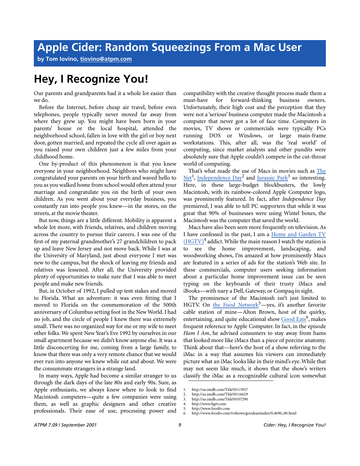**by Tom Iovino, [tiovino@atpm.com](mailto:tiovino@atpm.com)**

# **Hey, I Recognize You!**

Our parents and grandparents had it a whole lot easier than we do.

Before the Internet, before cheap air travel, before even telephones, people typically never moved far away from where they grew up. You might have been born in your parents' house or the local hospital, attended the neighborhood school, fallen in love with the girl or boy next door, gotten married, and repeated the cycle all over again as you raised your own children just a few miles from your childhood home.

One by-product of this phenomenon is that you knew everyone in your neighborhood. Neighbors who might have congratulated your parents on your birth and waved hello to you as you walked home from school would often attend your marriage and congratulate you on the birth of your own children. As you went about your everyday business, you constantly ran into people you knew—in the stores, on the streets, at the movie theater.

But now, things are a little different. Mobility is apparent a whole lot more, with friends, relatives, and children moving across the country to pursue their careers. I was one of the first of my paternal grandmother's 27 grandchildren to pack up and leave New Jersey and not move back. While I was at the University of Maryland, just about everyone I met was new to the campus, but the shock of leaving my friends and relatives was lessened. After all, the University provided plenty of opportunities to make sure that I was able to meet people and make new friends.

But, in October of 1992, I pulled up tent stakes and moved to Florida. What an adventure: it was even fitting that I moved to Florida on the commemoration of the 500th anniversary of Columbus setting foot in the New World. I had no job, and the circle of people I knew there was extremely small. There was no organized way for me or my wife to meet other folks. We spent New Year's Eve 1992 by ourselves in our small apartment because we didn't know anyone else. It was a little disconcerting for me, coming from a large family, to know that there was only a very remote chance that we would ever run into anyone we knew while out and about. We were the consummate strangers in a strange land.

In many ways, Apple had become a similar stranger to us through the dark days of the late 80s and early 90s. Sure, as Apple enthusiasts, we always knew where to look to find Macintosh computers—quite a few companies were using them, as well as graphic designers and other creative professionals. Their ease of use, processing power and compatibility with the creative thought process made them a must-have for forward-thinking business owners. Unfortunately, their high cost and the perception that they were not a 'serious' business computer made the Macintosh a computer that never got a lot of face time. Computers in movies, TV shows or commercials were typically PCs running DOS or Windows, or large main-frame workstations. This, after all, was the 'real world' of computing, since market analysts and other pundits were absolutely sure that Apple couldn't compete in the cut-throat world of computing.

That's what made the use of Macs in movies such as [The](http://us.imdb.com/Title?0113957) [Net](http://us.imdb.com/Title?0113957)<sup>1</sup>, [Independence Day](http://us.imdb.com/Title?0116629)<sup>2</sup> and [Jurassic Park](http://us.imdb.com/Title?0107290)<sup>3</sup> so interesting. Here, in these large-budget blockbusters, the lowly Macintosh, with its rainbow-colored Apple Computer logo, was prominently featured. In fact, after *Independence Day* premiered, I was able to tell PC supporters that while it was great that 90% of businesses were using Wintel boxes, the Macintosh was the computer that saved the world.

Macs have also been seen more frequently on television. As I have confessed in the past, I am a [Home and Garden TV](http://www.hgtv.com)  $(HGTV)<sup>4</sup>$  $(HGTV)<sup>4</sup>$  addict. While the main reason I watch the station is see the home improvement, landscaping, and woodworking shows, I'm amazed at how prominently Macs are featured in a series of ads for the station's Web site. In these commercials, computer users seeking information about a particular home improvement issue can be seen typing on the keyboards of their trusty iMacs and iBooks—with nary a Dell, Gateway, or Compaq in sight.

The prominence of the Macintosh isn't just limited to HGTV. On [the Food Network](http://www.foodtv.com)<sup>5</sup>-yes, it's another favorite cable station of mine—Alton Brown, host of the quirky, entertaining, and quite educational show Good Eats<sup>6</sup>, makes frequent reference to Apple Computer. In fact, in the episode *Ham I Am*, he advised consumers to stay away from hams that looked more like iMacs than a piece of porcine anatomy. Think about that—here's the host of a show referring to the iMac in a way that assumes his viewers can immediately picture what an iMac looks like in their mind's eye. While that may not seem like much, it shows that the show's writers classify the iMac as a recognizable cultural icon somewhat

<sup>1.</sup> http://us.imdb.com/Title?0113957

<sup>2.</sup> http://us.imdb.com/Title?0116629<br>3. http://us.imdb.com/Title?0107290

http://us.imdb.com/Title?0107290

<sup>4.</sup> http://www.hgtv.com

<sup>5.</sup> http://www.foodtv.com

<sup>6.</sup> http://www.foodtv.com/tvshows/goodeatsindex/0,4690,,00.html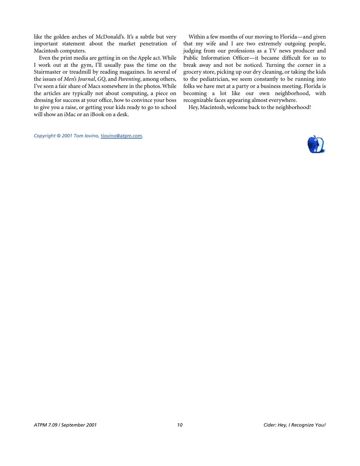like the golden arches of McDonald's. It's a subtle but very important statement about the market penetration of Macintosh computers.

Even the print media are getting in on the Apple act. While I work out at the gym, I'll usually pass the time on the Stairmaster or treadmill by reading magazines. In several of the issues of *Men's Journal*, *GQ*, and *Parenting*, among others, I've seen a fair share of Macs somewhere in the photos. While the articles are typically not about computing, a piece on dressing for success at your office, how to convince your boss to give you a raise, or getting your kids ready to go to school will show an iMac or an iBook on a desk.

Within a few months of our moving to Florida—and given that my wife and I are two extremely outgoing people, judging from our professions as a TV news producer and Public Information Officer—it became difficult for us to break away and not be noticed. Turning the corner in a grocery store, picking up our dry cleaning, or taking the kids to the pediatrician, we seem constantly to be running into folks we have met at a party or a business meeting. Florida is becoming a lot like our own neighborhood, with recognizable faces appearing almost everywhere.

Hey, Macintosh, welcome back to the neighborhood!

*Copyright © 2001 Tom Iovino,* [tiovino@atpm.com](mailto:tiovino@atpm.com)*.*

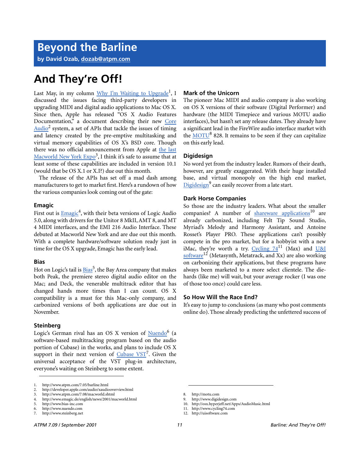**by David Ozab, [dozab@atpm.com](mailto:dozab@atpm.com)**

# **And They're Off!**

Last May, in my column *Why I'm Waiting to Upgrade<sup>1</sup>*, I discussed the issues facing third-party developers in upgrading MIDI and digital audio applications to Mac OS X. Since then, Apple has released "OS X Audio Features Documentation," a document describing their new [Core](http://developer.apple.com/audio/xaudiooverview.html) [Audio](http://developer.apple.com/audio/xaudiooverview.html)<sup>2</sup> system, a set of APIs that tackle the issues of timing and latency created by the pre-emptive multitasking and virtual memory capabilities of OS X's BSD core. Though there was no official announcement from Apple at [the last](http://www.atpm.com/7.08/macworld.shtml) Macworld New York Expo<sup>3</sup>, I think it's safe to assume that at least some of these capabilities are included in version 10.1 (would that be OS X.1 or X.I?) due out this month.

The release of the APIs has set off a mad dash among manufacturers to get to market first. Here's a rundown of how the various companies look coming out of the gate:

# **Emagic**

First out is **[Emagic](http://www.emagic.de/english/news/2001/macworld.html)<sup>4</sup>**, with their beta versions of Logic Audio 5.0, along with drivers for the Unitor 8 MkII, AMT 8, and MT 4 MIDI interfaces, and the EMI 216 Audio Interface. These debuted at Macworld New York and are due out this month. With a complete hardware/software solution ready just in time for the OS X upgrade, Emagic has the early lead.

# **Bias**

Hot on Logic's tail is  $\underline{\mathrm{Bias}}^5,$  $\underline{\mathrm{Bias}}^5,$  $\underline{\mathrm{Bias}}^5,$  the Bay Area company that makes both Peak, the premiere stereo digital audio editor on the Mac; and Deck, the venerable multitrack editor that has changed hands more times than I can count. OS X compatibility is a must for this Mac-only company, and carbonized versions of both applications are due out in November.

# **Steinberg**

Logic's German rival has an OS X version of [Nuendo](http://www.nuendo.com)<sup>6</sup> (a software-based multitracking program based on the audio portion of Cubase) in the works, and plans to include OS X support in their next version of  $\overline{\text{Cubase VST}}^7$ . Given the universal acceptance of the VST plug-in architecture, everyone's waiting on Steinberg to some extent.

# **Mark of the Unicorn**

The pioneer Mac MIDI and audio company is also working on OS X versions of their software (Digital Performer) and hardware (the MIDI Timepiece and various MOTU audio interfaces), but hasn't set any release dates. They already have a significant lead in the FireWire audio interface market with the MOTU<sup>8</sup> 828. It remains to be seen if they can capitalize on this early lead.

# **Digidesign**

No word yet from the industry leader. Rumors of their death, however, are greatly exaggerated. With their huge installed base, and virtual monopoly on the high end market, Digidesign<sup>9</sup> can easily recover from a late start.

# **Dark Horse Companies**

So those are the industry leaders. What about the smaller companies? A number of [shareware applications](http://osx.hyperjeff.net/Apps/AudioMusic.html)<sup>10</sup> are already carbonized, including Felt Tip Sound Studio, Myriad's Melody and Harmony Assistant, and Antoine Rosset's Player PRO. These applications can't possibly compete in the pro market, but for a hobbyist with a new iMac, they're worth a try. Cycling  $74<sup>11</sup>$  (Max) and [U&I](http://uisoftware.com) software<sup>12</sup> (Metasynth, Metatrack, and Xx) are also working on carbonizing their applications, but these programs have always been marketed to a more select clientele. The diehards (like me) will wait, but your average rocker (I was one of those too once) could care less.

# **So How Will the Race End?**

It's easy to jump to conclusions (as many who post comments online do). Those already predicting the unfettered success of

<sup>1.</sup> http://www.atpm.com/7.05/barline.html

<sup>2.</sup> http://developer.apple.com/audio/xaudiooverview.html

<sup>3.</sup> http://www.atpm.com/7.08/macworld.shtml

<sup>4.</sup> http://www.emagic.de/english/news/2001/macworld.html

<sup>5.</sup> http://www.bias-inc.com

<sup>6.</sup> http://www.nuendo.com<br>7. http://www.steinberg.net http://www.steinberg.net

<sup>8.</sup> http://motu.com

<sup>9.</sup> http://www.digidesign.com

<sup>10.</sup> http://osx.hyperjeff.net/Apps/AudioMusic.html

<sup>11.</sup> http://www.cycling74.com

<sup>12.</sup> http://uisoftware.com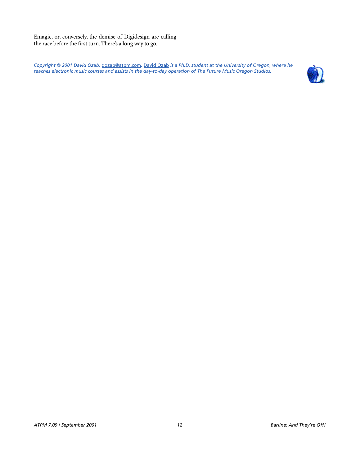Emagic, or, conversely, the demise of Digidesign are calling the race before the first turn. There's a long way to go.

*Copyright © 2001 David Ozab,* [dozab@atpm.com](mailto:dozab@atpm.com)*.* [David Ozab](http://darkwing.uoregon.edu/%7Edlo) *is a Ph.D. student at the University of Oregon, where he teaches electronic music courses and assists in the day-to-day operation of The Future Music Oregon Studios.*

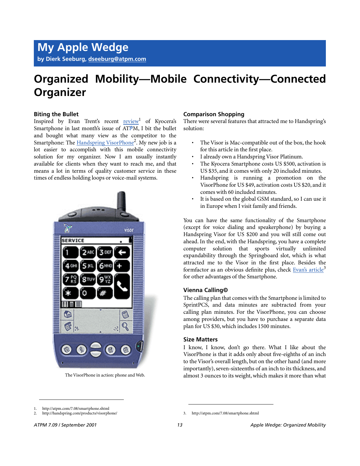# **Organized Mobility—Mobile Connectivity—Connected Organizer**

# **Biting the Bullet**

Inspired by Evan Trent's recent review<sup>1</sup> of Kyocera's Smartphone in last month's issue of ATPM, I bit the bullet and bought what many view as the competitor to the Smartphone: The Handspring VisorPhone<sup>2</sup>. My new job is a lot easier to accomplish with this mobile connectivity solution for my organizer. Now I am usually instantly available for clients when they want to reach me, and that means a lot in terms of quality customer service in these times of endless holding loops or voice-mail systems.



The VisorPhone in action: phone and Web.

# **Comparison Shopping**

There were several features that attracted me to Handspring's solution:

- The Visor is Mac-compatible out of the box, the hook for this article in the first place.
- I already own a Handspring Visor Platinum.
- The Kyocera Smartphone costs US \$500, activation is US \$35, and it comes with only 20 included minutes.
- Handspring is running a promotion on the VisorPhone for US \$49, activation costs US \$20, and it comes with 60 included minutes.
- It is based on the global GSM standard, so I can use it in Europe when I visit family and friends.

You can have the same functionality of the Smartphone (except for voice dialing and speakerphone) by buying a Handspring Visor for US \$200 and you will still come out ahead. In the end, with the Handspring, you have a complete computer solution that sports virtually unlimited expandability through the Springboard slot, which is what attracted me to the Visor in the first place. Besides the formfactor as an obvious definite plus, check Evan's article<sup>3</sup> for other advantages of the Smartphone.

# **Vienna Calling©**

The calling plan that comes with the Smartphone is limited to SprintPCS, and data minutes are subtracted from your calling plan minutes. For the VisorPhone, you can choose among providers, but you have to purchase a separate data plan for US \$30, which includes 1500 minutes.

# **Size Matters**

I know, I know, don't go there. What I like about the VisorPhone is that it adds only about five-eighths of an inch to the Visor's overall length, but on the other hand (and more importantly), seven-sixteenths of an inch to its thickness, and almost 3 ounces to its weight, which makes it more than what

<sup>1.</sup> http://atpm.com/7.08/smartphone.shtml

<sup>2.</sup> http://handspring.com/products/visorphone/

<sup>3.</sup> http://atpm.com/7.08/smartphone.shtml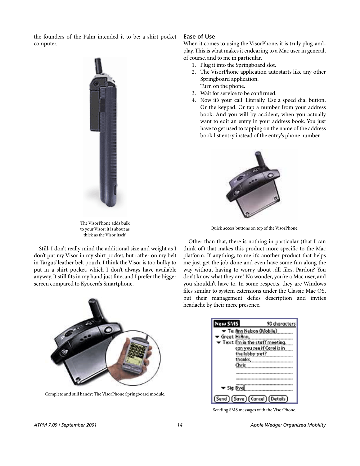the founders of the Palm intended it to be: a shirt pocket computer.



The VisorPhone adds bulk to your Visor: it is about as thick as the Visor itself.

Still, I don't really mind the additional size and weight as I don't put my Visor in my shirt pocket, but rather on my belt in Targus' leather belt pouch. I think the Visor is too bulky to put in a shirt pocket, which I don't always have available anyway. It still fits in my hand just fine, and I prefer the bigger screen compared to Kyocera's Smartphone.



Complete and still handy: The VisorPhone Springboard module.

# **Ease of Use**

When it comes to using the VisorPhone, it is truly plug-andplay. This is what makes it endearing to a Mac user in general, of course, and to me in particular.

- 1. Plug it into the Springboard slot.
- 2. The VisorPhone application autostarts like any other Springboard application. Turn on the phone.
- 3. Wait for service to be confirmed.
- 4. Now it's your call. Literally. Use a speed dial button. Or the keypad. Or tap a number from your address book. And you will by accident, when you actually want to edit an entry in your address book. You just have to get used to tapping on the name of the address book list entry instead of the entry's phone number.



Quick access buttons on top of the VisorPhone.

Other than that, there is nothing in particular (that I can think of) that makes this product more specific to the Mac platform. If anything, to me it's another product that helps me just get the job done and even have some fun along the way without having to worry about .dll files. Pardon? You don't know what they are? No wonder, you're a Mac user, and you shouldn't have to. In some respects, they are Windows files similar to system extensions under the Classic Mac OS, but their management defies description and invites headache by their mere presence.

| New SMS<br>93 characters                             |
|------------------------------------------------------|
| To: Ann Nelson (Mobile)                              |
| ▼ Greet: Hi Ann                                      |
| $\blacktriangledown$ Text: I'm in the staff meeting. |
| u see if Carol is in                                 |
| he lobby yet?                                        |
|                                                      |
|                                                      |
|                                                      |
|                                                      |
| ▼ Sig: Bye                                           |
| [Save] (Cancel) (Details                             |

Sending SMS messages with the VisorPhone.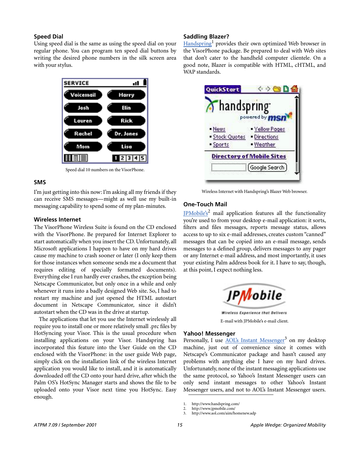# **Speed Dial**

Using speed dial is the same as using the speed dial on your regular phone. You can program ten speed dial buttons by writing the desired phone numbers in the silk screen area with your stylus.



Speed dial 10 numbers on the VisorPhone.

## **SMS**

I'm just getting into this now: I'm asking all my friends if they can receive SMS messages—might as well use my built-in messaging capability to spend some of my plan-minutes.

# **Wireless Internet**

The VisorPhone Wireless Suite is found on the CD enclosed with the VisorPhone. Be prepared for Internet Explorer to start automatically when you insert the CD. Unfortunately, all Microsoft applications I happen to have on my hard drives cause my machine to crash sooner or later (I only keep them for those instances when someone sends me a document that requires editing of specially formatted documents). Everything else I run hardly ever crashes, the exception being Netscape Communicator, but only once in a while and only whenever it runs into a badly designed Web site. So, I had to restart my machine and just opened the HTML autostart document in Netscape Communicator, since it didn't autostart when the CD was in the drive at startup.

The applications that let you use the Internet wirelessly all require you to install one or more relatively small .prc files by HotSyncing your Visor. This is the usual procedure when installing applications on your Visor. Handspring has incorporated this feature into the User Guide on the CD enclosed with the VisorPhone: in the user guide Web page, simply click on the installation link of the wireless Internet application you would like to install, and it is automatically downloaded off the CD onto your hard drive, after which the Palm OS's HotSync Manager starts and shows the file to be uploaded onto your Visor next time you HotSync. Easy enough.

# **Saddling Blazer?**

[Handspring](http://www.handspring.com/)<sup>1</sup> provides their own optimized Web browser in the VisorPhone package. Be prepared to deal with Web sites that don't cater to the handheld computer clientele. On a good note, Blazer is compatible with HTML, cHTML, and WAP standards.



Wireless Internet with Handspring's Blazer Web browser.

# **One-Touch Mail**

IPMobile's<sup>2</sup> mail application features all the functionality you're used to from your desktop e-mail application: it sorts, filters and files messages, reports message status, allows access to up to six e-mail addresses, creates custom "canned" messages that can be copied into an e-mail message, sends messages to a defined group, delivers messages to any pager or any Internet e-mail address, and most importantly, it uses your existing Palm address book for it. I have to say, though, at this point, I expect nothing less.



E-mail with JPMobile's e-mail client.

## **Yahoo! Messenger**

Personally, I use **[AOL's Instant Messenger](http://www.aol.com/aim/homenew.adp)**<sup>3</sup> on my desktop machine, just out of convenience since it comes with Netscape's Communicator package and hasn't caused any problems with anything else I have on my hard drives. Unfortunately, none of the instant messaging applications use the same protocol, so Yahoo's Instant Messenger users can only send instant messages to other Yahoo's Instant Messenger users, and not to AOL's Instant Messenger users.

<sup>1.</sup> http://www.handspring.com/

<sup>2.</sup> http://www.jpmobile.com/<br>3. http://www.aol.com/aim/h

<sup>3.</sup> http://www.aol.com/aim/homenew.adp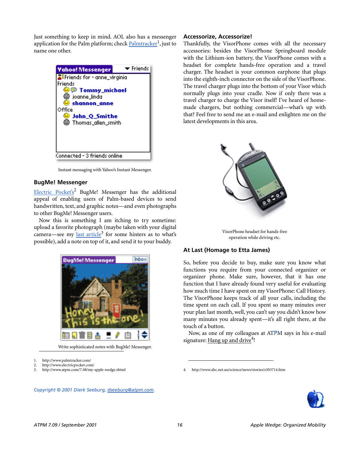Just something to keep in mind. AOL also has a messenger application for the Palm platform; check [Palmtracker](http://www.palmtracker.com/)<sup>1</sup>, just to name one other.



Instant messaging with Yahoo's Instant Messenger.

# **BugMe! Messenger**

[Electric Pocket's](http://www.electricpocket.com/)<sup>2</sup> BugMe! Messenger has the additional appeal of enabling users of Palm-based devices to send handwritten, text, and graphic notes—and even photographs to other BugMe! Messenger users.

Now this is something I am itching to try sometime: upload a favorite photograph (maybe taken with your digital camera—see my [last article](http://www.atpm.com/7.08/my-apple-wedge.shtml)<sup>3</sup> for some hinters as to what's possible), add a note on top of it, and send it to your buddy.



Write sophisticated notes with BugMe! Messenger.

- 2. http://www.electricpocket.com/
- 3. http://www.atpm.com/7.08/my-apple-wedge.shtml

*Copyright © 2001 Dierk Seeburg, [dseeburg@atpm.com](mailto:dseeburg@atpm.com).*

# **Accessorize, Accessorize!**

Thankfully, the VisorPhone comes with all the necessary accessories: besides the VisorPhone Springboard module with the Lithium-ion battery, the VisorPhone comes with a headset for complete hands-free operation and a travel charger. The headset is your common earphone that plugs into the eighth-inch connector on the side of the VisorPhone. The travel charger plugs into the bottom of your Visor which normally plugs into your cradle. Now if only there was a travel charger to charge the Visor itself! I've heard of homemade chargers, but nothing commercial—what's up with that? Feel free to send me an e-mail and enlighten me on the latest developments in this area.



VisorPhone headset for hands-free operation while driving etc.

# **At Last (Homage to Etta James)**

So, before you decide to buy, make sure you know what functions you require from your connected organizer or organizer phone. Make sure, however, that it has one function that I have already found very useful for evaluating how much time I have spent on my VisorPhone: Call History. The VisorPhone keeps track of all your calls, including the time spent on each call. If you spent so many minutes over your plan last month, well, you can't say you didn't know how many minutes you already spent—it's all right there, at the touch of a button.

Now, as one of my colleagues at ATPM says in his e-mail signature: Hang up and drive<sup>4</sup>!



<sup>1.</sup> http://www.palmtracker.com/

<sup>4.</sup> http://www.abc.net.au/science/news/stories/s303714.htm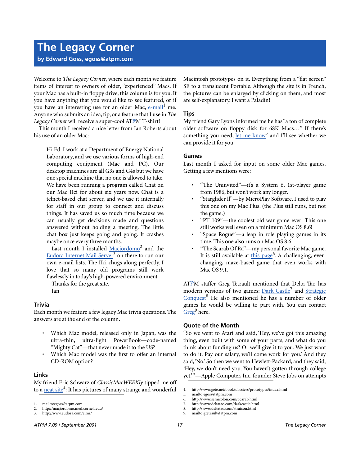**by Edward Goss, [egoss@atpm.com](mailto:egoss@atpm.com)**

Welcome to *The Legacy Corner*, where each month we feature items of interest to owners of older, "experienced" Macs. If your Mac has a built-in floppy drive, this column is for you. If you have anything that you would like to see featured, or if you have an interesting use for an older Mac, [e-mail](mailto:egoss@atpm.com)<sup>1</sup> me. Anyone who submits an idea, tip, or a feature that I use in *The Legacy Corner* will receive a super-cool ATPM T-shirt!

This month I received a nice letter from Ian Roberts about his use of an older Mac:

Hi Ed. I work at a Department of Energy National Laboratory, and we use various forms of high-end computing equipment (Mac and PC). Our desktop machines are all G3s and G4s but we have one special machine that no one is allowed to take. We have been running a program called Chat on our Mac IIci for about six years now. Chat is a telnet-based chat server, and we use it internally for staff in our group to connect and discuss things. It has saved us so much time because we can usually get decisions made and questions answered without holding a meeting. The little chat box just keeps going and going. It crashes maybe once every three months.

Last month I installed [Macjordomo](http://macjordomo.med.cornell.edu/)<sup>2</sup> and the [Eudora Internet Mail Server](http://www.eudora.com/eims/)<sup>3</sup> on there to run our own e-mail lists. The IIci chugs along perfectly. I love that so many old programs still work flawlessly in today's high-powered environment.

Thanks for the great site.

Ian

# **Trivia**

Each month we feature a few legacy Mac trivia questions. The answers are at the end of the column.

- Which Mac model, released only in Japan, was the ultra-thin, ultra-light PowerBook—code-named "Mighty Cat"—that never made it to the US?
- Which Mac model was the first to offer an internal CD-ROM option?

# **Links**

My friend Eric Schwarz of *ClassicMacWEEKly* tipped me off to a neat site<sup>4</sup>: It has pictures of many strange and wonderful

3. http://www.eudora.com/eims/

Macintosh prototypes on it. Everything from a "flat screen" SE to a translucent Portable. Although the site is in French, the pictures can be enlarged by clicking on them, and most are self-explanatory. I want a Paladin!

# **Tips**

My friend Gary Lyons informed me he has "a ton of complete older software on floppy disk for 68K Macs…" If there's something you need, *let* me know<sup>5</sup> and I'll see whether we can provide it for you.

# **Games**

Last month I asked for input on some older Mac games. Getting a few mentions were:

- "The Uninvited"—it's a System 6, 1st-player game from 1986, but won't work any longer.
- "Starglider ll"—by MicroPlay Software. I used to play this one on my Mac Plus. (the Plus still runs, but not the game.)
- "PT 109"—the coolest old war game ever! This one still works well even on a minimum Mac OS 8.6!
- "Space Rogue"—a leap in role playing games in its time. This one also runs on Mac OS 8.6.
- "The Scarab Of Ra"—my personal favorite Mac game. It is still available at this page<sup>6</sup>. A challenging, everchanging, maze-based game that even works with Mac OS 9.1.

ATPM staffer Greg Tetrault mentioned that Delta Tao has modern versions of two games: Dark Castle<sup>7</sup> and [Strategic](http://www.deltatao.com/stratcon.html) [Conquest](http://www.deltatao.com/stratcon.html)<sup>8</sup> He also mentioned he has a number of older games he would be willing to part with. You can contact  $Greg<sup>9</sup>$  $Greg<sup>9</sup>$  here.

# **Quote of the Month**

"So we went to Atari and said, 'Hey, we've got this amazing thing, even built with some of your parts, and what do you think about funding us? Or we'll give it to you. We just want to do it. Pay our salary, we'll come work for you.' And they said, 'No.' So then we went to Hewlett-Packard, and they said, 'Hey, we don't need you. You haven't gotten through college yet.'"—Apple Computer, Inc. founder Steve Jobs on attempts

<sup>1.</sup> mailto:egoss@atpm.com

<sup>2.</sup> http://macjordomo.med.cornell.edu/<br>3. http://www.eudora.com/eims/

<sup>4.</sup> http://www.gete.net/book/dossiers/prototypes/index.html

<sup>5.</sup> mailto:egoss@atpm.com

<sup>6.</sup> http://www.semicolon.com/Scarab.html

<sup>7.</sup> http://www.deltatao.com/darkcastle.html

<sup>8.</sup> http://www.deltatao.com/stratcon.html

<sup>9.</sup> mailto:gtetrault@atpm.com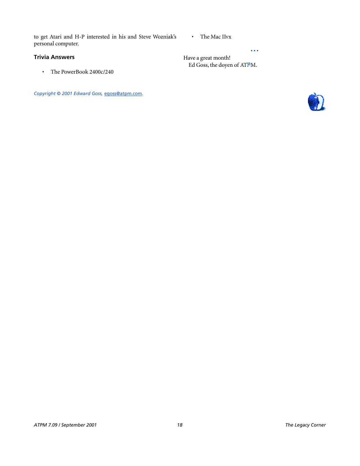to get Atari and H-P interested in his and Steve Wozniak's personal computer.

# • The Mac IIvx

**Trivia Answers**

• The PowerBook 2400c/240

*Copyright © 2001 Edward Goss,* [egoss@atpm.com](mailto:egoss@atpm.com)*.*

Have a great month! Ed Goss, the doyen of ATPM.

**• • •**

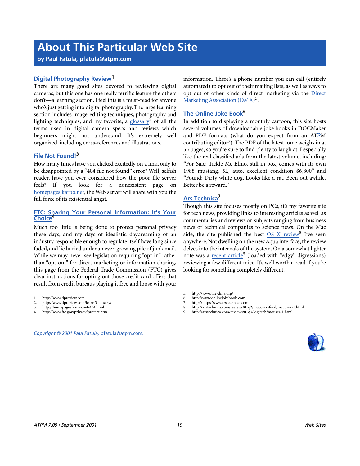# **About This Particular Web Site**

**by Paul Fatula, [pfatula@atpm.com](mailto:pfatula@atpm.com)**

# **[Digital Photography Review1](http://www.dpreview.com)**

There are many good sites devoted to reviewing digital cameras, but this one has one really terrific feature the others don't—a learning section. I feel this is a must-read for anyone who's just getting into digital photography. The large learning section includes image-editing techniques, photography and lighting techniques, and my favorite, a [glossary](http://www.dpreview.com/learn/Glossary/)<sup>2</sup> of all the terms used in digital camera specs and reviews which beginners might not understand. It's extremely well organized, including cross-references and illustrations.

# **[File Not Found!3](http://homepages.karoo.net/404.html)**

How many times have you clicked excitedly on a link, only to be disappointed by a "404 file not found" error? Well, selfish reader, have you ever considered how the poor file server feels? If you look for a nonexistent page on [homepages.karoo.net](http://homepages.karoo.net), the Web server will share with you the full force of its existential angst.

# **[FTC: Sharing Your Personal Information: It's Your](http://www.ftc.gov/privacy/protect.htm) Choice**

Much too little is being done to protect personal privacy these days, and my days of idealistic daydreaming of an industry responsible enough to regulate itself have long since faded, and lie buried under an ever-growing pile of junk mail. While we may never see legislation requiring "opt-in" rather than "opt-out" for direct marketing or information sharing, this page from the Federal Trade Commission (FTC) gives clear instructions for opting out those credit card offers that result from credit bureaus playing it free and loose with your

- 3. http://homepages.karoo.net/404.html
- 4. http://www.ftc.gov/privacy/protect.htm

*Copyright © 2001 Paul Fatula,* [pfatula@atpm.com](mailto:pfatula@atpm.com)*.*

information. There's a phone number you can call (entirely automated) to opt out of their mailing lists, as well as ways to opt out of other kinds of direct marketing via the [Direct](http://www.the-dma.org/) [Marketing Association \(DMA\)](http://www.the-dma.org/)<sup>5</sup>.

# **[The Online Joke Book6](http://www.onlinejokebook.com)**

In addition to displaying a monthly cartoon, this site hosts several volumes of downloadable joke books in DOCMaker and PDF formats (what do you expect from an ATPM contributing editor?). The PDF of the latest tome weighs in at 55 pages, so you're sure to find plenty to laugh at. I especially like the real classified ads from the latest volume, including: "For Sale: Tickle Me Elmo, still in box, comes with its own 1988 mustang, 5L, auto, excellent condition \$6,800" and "Found: Dirty white dog. Looks like a rat. Been out awhile. Better be a reward."

# **[Ars Technica7](http://http://www.arstechnica.com)**

Though this site focuses mostly on PCs, it's my favorite site for tech news, providing links to interesting articles as well as commentaries and reviews on subjects ranging from business news of technical companies to science news. On the Mac side, the site published the best OS X review<sup>8</sup> I've seen anywhere. Not dwelling on the new Aqua interface, the review delves into the internals of the system. On a somewhat lighter note was a [recent article](http://arstechnica.com/reviews/01q3/logitech/mouses-1.html)<sup>9</sup> (loaded with "edgy" digressions) reviewing a few different mice. It's well worth a read if you're looking for something completely different.

- 8. http://arstechnica.com/reviews/01q2/macos-x-final/macos-x-1.html
- 9. http://arstechnica.com/reviews/01q3/logitech/mouses-1.html



<sup>1.</sup> http://www.dpreview.com

<sup>2.</sup> http://www.dpreview.com/learn/Glossary/<br>3. http://homenages.karoo.net/404.html

<sup>5.</sup> http://www.the-dma.org/

<sup>6.</sup> http://www.onlinejokebook.com

<sup>7.</sup> http://http://www.arstechnica.com<br>8. http://arstechnica.com/reviews/016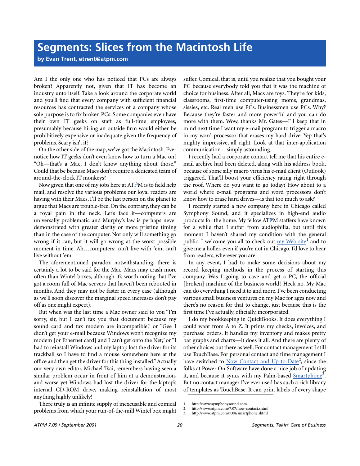**by Evan Trent, [etrent@atpm.com](mailto:etrent@atpm.com)**

Am I the only one who has noticed that PCs are always broken? Apparently not, given that IT has become an industry unto itself. Take a look around the corporate world and you'll find that every company with sufficient financial resources has contracted the services of a company whose sole purpose is to fix broken PCs. Some companies even have their own IT geeks on staff as full-time employees, presumably because hiring an outside firm would either be prohibitively expensive or inadequate given the frequency of problems. Scary isn't it?

On the other side of the map, we've got the Macintosh. Ever notice how IT geeks don't even know how to turn a Mac on? "Oh—that's a Mac, I don't know anything about those." Could that be because Macs don't require a dedicated team of around-the-clock IT monkeys?

Now given that one of my jobs here at ATPM is to field help mail, and resolve the various problems our loyal readers are having with their Macs, I'll be the last person on the planet to argue that Macs are trouble-free. On the contrary, they can be a royal pain in the neck. Let's face it—computers are universally problematic and Murphy's law is perhaps never demonstrated with greater clarity or more pristine timing than in the case of the computer. Not only will something go wrong if it can, but it will go wrong at the worst possible moment in time. Ah…computers: can't live with 'em, can't live without 'em.

The aforementioned paradox notwithstanding, there is certainly a lot to be said for the Mac. Macs may crash more often than Wintel boxes, although it's worth noting that I've got a room full of Mac servers that haven't been rebooted in months. And they may not be faster in every case (although as we'll soon discover the marginal speed increases don't pay off as one might expect).

But when was the last time a Mac owner said to you "I'm sorry, sir, but I can't fax you that document because my sound card and fax modem are incompatible," or "Gee I didn't get your e-mail because Windows won't recognize my modem [or Ethernet card] and I can't get onto the Net," or "I had to reinstall Windows and my laptop lost the driver for its trackball so I have to find a mouse somewhere here at the office and then get the driver for this thing installed." Actually our very own editor, Michael Tsai, remembers having seen a similar problem occur in front of him at a demonstration, and worse yet Windows had lost the driver for the laptop's internal CD-ROM drive, making reinstallation of most anything highly unlikely!

There truly is an infinite supply of inexcusable and comical problems from which your run-of-the-mill Wintel box might suffer. Comical, that is, until you realize that you bought your PC because everybody told you that it was the machine of choice for business. After all, Macs are toys. They're for kids, classrooms, first-time computer-using moms, grandmas, sissies, etc. Real men use PCs. Businessmen use PCs. Why? Because they're faster and more powerful and you can do more with them. Wow, thanks Mr. Gates—I'll keep that in mind next time I want my e-mail program to trigger a macro in my word processor that erases my hard drive. Yep that's mighty impressive, all right. Look at that inter-application communication—simply astounding.

I recently had a corporate contact tell me that his entire email archive had been deleted, along with his address book, because of some silly macro virus his e-mail client (Outlook) triggered. That'll boost your efficiency rating right through the roof. Where do you want to go today? How about to a world where e-mail programs and word processors don't know how to erase hard drives—is that too much to ask?

I recently started a new company here in Chicago called Symphony Sound, and it specializes in high-end audio products for the home. My fellow ATPM staffers have known for a while that I suffer from audiophilia, but until this moment I haven't shared my condition with the general public. I welcome you all to check out my Web site<sup>1</sup> and to give me a holler, even if you're not in Chicago. I'd love to hear from readers, wherever you are.

In any event, I had to make some decisions about my record keeping methods in the process of starting this company. Was I going to cave and get a PC, the official [broken] machine of the business world? Heck no. My Mac can do everything I need it to and more. I've been conducting various small business ventures on my Mac for ages now and there's no reason for that to change, just because this is the first time I've actually, officially, incorporated.

I do my bookkeeping in QuickBooks. It does everything I could want from A to Z. It prints my checks, invoices, and purchase orders. It handles my inventory and makes pretty bar graphs and charts—it does it all. And there are plenty of other choices out there as well. For contact management I still use TouchBase. For personal contact and time management I have switched to [Now Contact and Up-to-Date](http://www.atpm.com/7.07/now-contact.shtml)<sup>2</sup>, since the folks at Power On Software have done a nice job of updating it, and because it syncs with my Palm-based [Smartphone](http://www.atpm.com/7.08/smartphone.shtml)<sup>3</sup>. But no contact manager I've ever used has such a rich library of templates as TouchBase. It can print labels of every shape

<sup>1.</sup> http://www.symphonysound.com<br>2. http://www.atpm.com/7.07/now-c

<sup>2.</sup> http://www.atpm.com/7.07/now-contact.shtml<br>3. http://www.atpm.com/7.08/smartphone.shtml

<sup>3.</sup> http://www.atpm.com/7.08/smartphone.shtml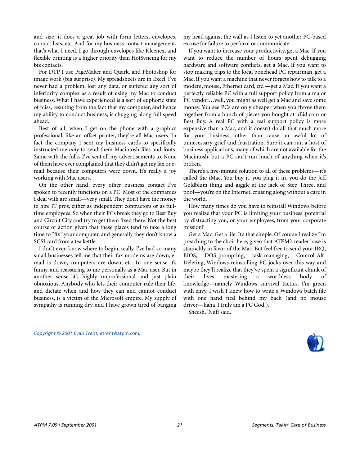and size, it does a great job with form letters, envelopes, contact lists, etc. And for my business contact management, that's what I need. I go through envelopes like Kleenex, and flexible printing is a higher priority than HotSyncing for my biz contacts.

For DTP I use PageMaker and Quark, and Photoshop for image work (big surprise). My spreadsheets are in Excel. I've never had a problem, lost any data, or suffered any sort of inferiority complex as a result of using my Mac to conduct business. What I have experienced is a sort of euphoric state of bliss, resulting from the fact that my computer, and hence my ability to conduct business, is chugging along full speed ahead.

Best of all, when I get on the phone with a graphics professional, like an offset printer, they're all Mac users. In fact the company I sent my business cards to specifically instructed me *only* to send them Macintosh files and fonts. Same with the folks I've sent all my advertisements to. None of them have ever complained that they didn't get my fax or email because their computers were down. It's really a joy working with Mac users.

On the other hand, every other business contact I've spoken to recently functions on a PC. Most of the companies I deal with are small—very small. They don't have the money to hire IT pros, either as independent contractors or as fulltime employees. So when their PCs break they go to Best Buy and Circuit City and try to get them fixed there. Not the best course of action given that these places tend to take a long time to "fix" your computer, and generally they don't know a SCSI card from a tea kettle.

I don't even know where to begin, really. I've had so many small businesses tell me that their fax modems are down, email is down, computers are down, etc. In one sense it's funny, and reassuring to me personally as a Mac user. But in another sense it's highly unprofessional and just plain obnoxious. Anybody who lets their computer rule their life, and dictate when and how they can and cannot conduct business, is a victim of the Microsoft empire. My supply of sympathy is running dry, and I have grown tired of banging

my head against the wall as I listen to yet another PC-based excuse for failure to perform or communicate.

If you want to increase your productivity, get a Mac. If you want to reduce the number of hours spent debugging hardware and software conflicts, get a Mac. If you want to stop making trips to the local bonehead PC repairman, get a Mac. If you want a machine that never forgets how to talk to a modem, mouse, Ethernet card, etc.—get a Mac. If you want a perfectly reliable PC with a full support policy from a major PC vendor…well, you might as well get a Mac and save some money. You see PCs are only cheaper when you throw them together from a bunch of pieces you bought at uBid.com or Best Buy. A real PC with a real support policy is more expensive than a Mac, and it doesn't do all that much more for your business, other than cause an awful lot of unnecessary grief and frustration. Sure it can run a host of business applications, many of which are not available for the Macintosh, but a PC can't run much of anything when it's broken.

There's a five-minute solution to all of these problems—it's called the iMac. You buy it, you plug it in, you do the Jeff Goldblum thing and giggle at the lack of Step Three, and poof—you're on the Internet, cruising along without a care in the world.

How many times do you have to reinstall Windows before you realize that your PC is limiting your business' potential by distracting you, or your employees, from your corporate mission?

Get a Mac. Get a life. It's that simple. Of course I realize I'm preaching to the choir here, given that ATPM's reader base is staunchly in favor of the Mac. But feel free to send your IRQ, BIOS, DOS-prompting, task-managing, Control-Alt-Deleting, Windows-reinstalling PC jocks over this way and maybe they'll realize that they've spent a significant chunk of their lives mastering a worthless body knowledge—namely Windows survival tactics. I'm green with envy. I wish I knew how to write a Windows batch file with one hand tied behind my back (and no mouse driver—haha, I truly am a PC God!).

Sheesh. 'Nuff said.



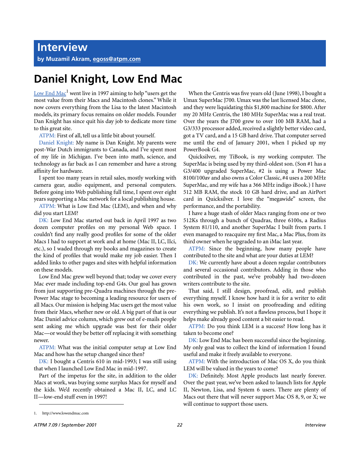# **Daniel Knight, Low End Mac**

 $\underline{\text{Low End Mac}}^1$  went live in 1997 aiming to help "users get the most value from their Macs and Macintosh clones." While it now covers everything from the Lisa to the latest Macintosh models, its primary focus remains on older models. Founder Dan Knight has since quit his day job to dedicate more time to this great site.

ATPM: First of all, tell us a little bit about yourself.

Daniel Knight: My name is Dan Knight. My parents were post-War Dutch immigrants to Canada, and I've spent most of my life in Michigan. I've been into math, science, and technology as far back as I can remember and have a strong affinity for hardware.

I spent too many years in retail sales, mostly working with camera gear, audio equipment, and personal computers. Before going into Web publishing full time, I spent over eight years supporting a Mac network for a local publishing house.

ATPM: What is Low End Mac (LEM), and when and why did you start LEM?

DK: Low End Mac started out back in April 1997 as two dozen computer profiles on my personal Web space. I couldn't find any really good profiles for some of the older Macs I had to support at work and at home (Mac II, LC, IIci, etc.), so I waded through my books and magazines to create the kind of profiles that would make my job easier. Then I added links to other pages and sites with helpful information on these models.

Low End Mac grew well beyond that; today we cover every Mac ever made including top-end G4s. Our goal has grown from just supporting pre-Quadra machines through the pre-Power Mac stage to becoming a leading resource for users of all Macs. Our mission is helping Mac users get the most value from their Macs, whether new or old. A big part of that is our Mac Daniel advice column, which grew out of e-mails people sent asking me which upgrade was best for their older Mac—or would they be better off replacing it with something newer.

ATPM: What was the initial computer setup at Low End Mac and how has the setup changed since then?

DK: I bought a Centris 610 in mid-1993; I was still using that when I launched Low End Mac in mid-1997.

Part of the impetus for the site, in addition to the older Macs at work, was buying some surplus Macs for myself and the kids. We'd recently obtained a Mac II, LC, and LC II—low-end stuff even in 1997!

When the Centris was five years old (June 1998), I bought a Umax SuperMac J700. Umax was the last licensed Mac clone, and they were liquidating this \$1,800 machine for \$800. After my 20 MHz Centris, the 180 MHz SuperMac was a real treat. Over the years the J700 grew to over 100 MB RAM, had a G3/333 processor added, received a slightly better video card, got a TV card, and a 15 GB hard drive. That computer served me until the end of January 2001, when I picked up my PowerBook G4.

Quicksilver, my TiBook, is my working computer. The SuperMac is being used by my third-oldest son. (Son #1 has a G3/400 upgraded SuperMac, #2 is using a Power Mac 8100/100av and also owns a Color Classic, #4 uses a 200 MHz SuperMac, and my wife has a 366 MHz indigo iBook.) I have 512 MB RAM, the stock 10 GB hard drive, and an AirPort card in Quicksilver. I love the "megawide" screen, the performance, and the portability.

I have a huge stash of older Macs ranging from one or two 512Ks through a bunch of Quadras, three 6100s, a Radius System 81/110, and another SuperMac I built from parts. I even managed to reacquire my first Mac, a Mac Plus, from its third owner when he upgraded to an iMac last year.

ATPM: Since the beginning, how many people have contributed to the site and what are your duties at LEM?

DK: We currently have about a dozen regular contributors and several occasional contributors. Adding in those who contributed in the past, we've probably had two-dozen writers contribute to the site.

That said, I still design, proofread, edit, and publish everything myself. I know how hard it is for a writer to edit his own work, so I insist on proofreading and editing everything we publish. It's not a flawless process, but I hope it helps make already good content a bit easier to read.

ATPM: Do you think LEM is a success? How long has it taken to become one?

DK: Low End Mac has been successful since the beginning. My only goal was to collect the kind of information I found useful and make it freely available to everyone.

ATPM: With the introduction of Mac OS X, do you think LEM will be valued in the years to come?

DK: Definitely. Most Apple products last nearly forever. Over the past year, we've been asked to launch lists for Apple II, Newton, Lisa, and System 6 users. There are plenty of Macs out there that will never support Mac OS 8, 9, or X; we will continue to support those users.

<sup>1.</sup> http://www.lowendmac.com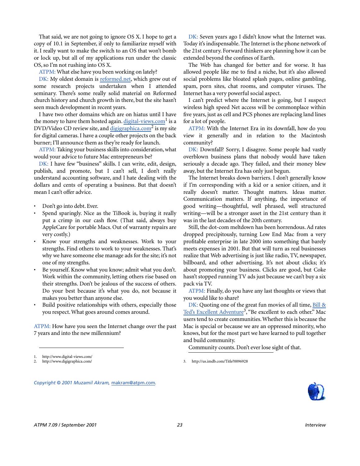That said, we are not going to ignore OS X. I hope to get a copy of 10.1 in September, if only to familiarize myself with it. I really want to make the switch to an OS that won't bomb or lock up, but all of my applications run under the classic OS, so I'm not rushing into OS X.

ATPM: What else have you been working on lately?

DK: My oldest domain is [reformed.net,](http://www.reformed.net) which grew out of some research projects undertaken when I attended seminary. There's some really solid material on Reformed church history and church growth in there, but the site hasn't seen much development in recent years.

I have two other domains which are on hiatus until I have the money to have them hosted again. [digital-views.com](http://www.digital-views.com/) lis a DVD/Video CD review site, and [digigraphica.com](http://www.digigraphica.com/)<sup>2</sup> is my site for digital cameras. I have a couple other projects on the back burner; I'll announce them as they're ready for launch.

ATPM: Taking your business skills into consideration, what would your advice to future Mac entrepreneurs be?

DK: I have few "business" skills. I can write, edit, design, publish, and promote, but I can't sell, I don't really understand accounting software, and I hate dealing with the dollars and cents of operating a business. But that doesn't mean I can't offer advice.

- Don't go into debt. Ever.
- Spend sparingly. Nice as the TiBook is, buying it really put a crimp in our cash flow. (That said, always buy AppleCare for portable Macs. Out of warranty repairs are very costly.)
- Know your strengths and weaknesses. Work to your strengths. Find others to work to your weaknesses. That's why we have someone else manage ads for the site; it's not one of my strengths.
- Be yourself. Know what you know; admit what you don't. Work within the community, letting others rise based on their strengths. Don't be jealous of the success of others. Do your best because it's what you do, not because it makes you better than anyone else.
- Build positive relationships with others, especially those you respect. What goes around comes around.

ATPM: How have you seen the Internet change over the past 7 years and into the new millennium?

*Copyright © 2001 Muzamil Akram,* [makram@atpm.com](mailto:makram@atpm.com)*.*

DK: Seven years ago I didn't know what the Internet was. Today it's indispensable. The Internet is the phone network of the 21st century. Forward thinkers are planning how it can be extended beyond the confines of Earth.

The Web has changed for better and for worse. It has allowed people like me to find a niche, but it's also allowed social problems like bloated splash pages, online gambling, spam, porn sites, chat rooms, and computer viruses. The Internet has a very powerful social aspect.

I can't predict where the Internet is going, but I suspect wireless high speed Net access will be commonplace within five years, just as cell and PCS phones are replacing land lines for a lot of people.

ATPM: With the Internet Era in its downfall, how do you view it generally and in relation to the Macintosh community?

DK: Downfall? Sorry, I disagree. Some people had vastly overblown business plans that nobody would have taken seriously a decade ago. They failed, and their money blew away, but the Internet Era has only just begun.

The Internet breaks down barriers. I don't generally know if I'm corresponding with a kid or a senior citizen, and it really doesn't matter. Thought matters. Ideas matter. Communication matters. If anything, the importance of good writing—thoughtful, well phrased, well structured writing—will be a stronger asset in the 21st century than it was in the last decades of the 20th century.

Still, the dot-com meltdown has been horrendous. Ad rates dropped precipitously, turning Low End Mac from a very profitable enterprise in late 2000 into something that barely meets expenses in 2001. But that will turn as real businesses realize that Web advertising is just like radio, TV, newspaper, billboard, and other advertising. It's not about clicks; it's about promoting your business. Clicks are good, but Coke hasn't stopped running TV ads just because we can't buy a six pack via TV.

ATPM: Finally, do you have any last thoughts or views that you would like to share?

DK: Quoting one of the great fun movies of all time, [Bill &](http://us.imdb.com/Title?0096928) Ted's Excellent Adventure<sup>3</sup>, "Be excellent to each other." Mac users tend to create communities. Whether this is because the Mac is special or because we are an oppressed minority, who knows, but for the most part we have learned to pull together and build community.

Community counts. Don't ever lose sight of that.

2. http://www.digigraphica.com/ 3. http://us.imdb.com/Title?0096928



<sup>1.</sup> http://www.digital-views.com/<br>2. http://www.digigraphica.com/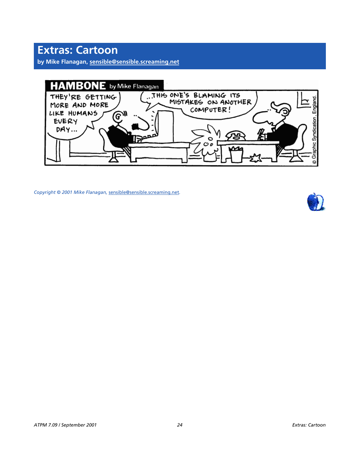**by Mike Flanagan, [sensible@sensible.screaming.net](mailto:sensible@sensible.screaming.net)**



*Copyright © 2001 Mike Flanagan,* [sensible@sensible.screaming.net](mailto:mrspiffy@earthlink.net)*.*

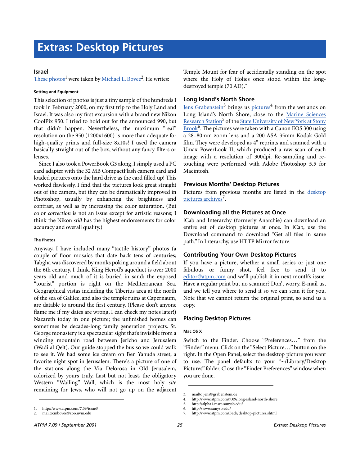## **Israel**

[These photos](http://www.atpm.com/7.09/israel/) $^{\rm l}$  were taken by <u>Michael L. Bovee</u><sup>2</sup>. He writes:

#### **Setting and Equipment**

This selection of photos is just a tiny sample of the hundreds I took in February 2000, on my first trip to the Holy Land and Israel. It was also my first excursion with a brand new Nikon CoolPix 950. I tried to hold out for the announced 990, but that didn't happen. Nevertheless, the maximum "real" resolution on the 950 (1200x1600) is more than adequate for high-quality prints and full-size 8x10s! I used the camera basically straight out of the box, without any fancy filters or lenses.

Since I also took a PowerBook G3 along, I simply used a PC card adapter with the 32 MB CompactFlash camera card and loaded pictures onto the hard drive as the card filled up! This worked flawlessly. I find that the pictures look great straight out of the camera, but they can be dramatically improved in Photoshop, usually by enhancing the brightness and contrast, as well as by increasing the color saturation. (But color *correction* is not an issue except for artistic reasons; I think the Nikon *still* has the highest endorsements for color accuracy and overall quality.)

#### **The Photos**

Anyway, I have included many "tactile history" photos (a couple of floor mosaics that date back tens of centuries; Tabgha was discovered by monks poking around a field about the 6th century, I think. King Herod's aqueduct is over 2000 years old and much of it is buried in sand; the exposed "tourist" portion is right on the Mediterranean Sea. Geographical vistas including the Tiberius area at the north of the sea of Galilee, and also the temple ruins at Capernaum, are datable to around the first century. (Please don't anyone flame me if my dates are wrong, I can check my notes later!) Nazareth today in one picture; the unfinished homes can sometimes be decades-long family generation projects. St. George monastery is a spectacular sight that's invisible from a winding mountain road between Jericho and Jerusalem (Wadi al Qelt). Our guide stopped the bus so we could walk to see it. We had some ice cream on Ben Yahuda street, a favorite night spot in Jerusalem. There's a picture of one of the stations along the Via Delorosa in Old Jerusalem, colorized by yours truly. Last but not least, the obligatory Western "Wailing" Wall, which is the most holy *site* remaining for Jews, who will not go up on the adjacent

# **Long Island's North Shore**

[Jens Grabenstein](mailto:jens@grabenstein.de)<sup>3</sup> brings us [pictures](http://www.atpm.com/7.09/long-island-north-shore)<sup>4</sup> from the wetlands on Long Island's North Shore, close to the [Marine Sciences](http://alpha1.msrc.sunysb.edu/) Research Station<sup>5</sup> of the **State University of New York at Stony** [Brook](http://www.sunysb.edu/)<sup>6</sup>. The pictures were taken with a Canon EOS 300 using a 28–80mm zoom lens and a 200 ASA 35mm Kodak Gold film. They were developed as 4" reprints and scanned with a Umax PowerLook II, which produced a raw scan of each image with a resolution of 300dpi. Re-sampling and retouching were performed with Adobe Photoshop 5.5 for Macintosh.

# **Previous Months' Desktop Pictures**

Pictures from previous months are listed in the [desktop](http://www.atpm.com/Back/desktop-pictures.shtml) [pictures archives](http://www.atpm.com/Back/desktop-pictures.shtml)<sup>7</sup>.

# **Downloading all the Pictures at Once**

iCab and Interarchy (formerly Anarchie) can download an entire set of desktop pictures at once. In iCab, use the Download command to download "Get all files in same path." In Interarchy, use HTTP Mirror feature.

## **Contributing Your Own Desktop Pictures**

If you have a picture, whether a small series or just one fabulous or funny shot, feel free to send it to [editor@atpm.com](mailto:editor@atpm.com) and we'll publish it in next month's issue. Have a regular print but no scanner? Don't worry. E-mail us, and we tell you where to send it so we can scan it for you. Note that we cannot return the original print, so send us a copy.

# **Placing Desktop Pictures**

## **Mac OS X**

Switch to the Finder. Choose "Preferences…" from the "Finder" menu. Click on the "Select Picture…" button on the right. In the Open Panel, select the desktop picture you want to use. The panel defaults to your "~/Library/Desktop Pictures" folder. Close the "Finder Preferences" window when you are done.

3. mailto:jens@grabenstein.de

4. http://www.atpm.com/7.09/long-island-north-shore

Temple Mount for fear of accidentally standing on the spot where the Holy of Holies once stood within the longdestroyed temple (70 AD)."

<sup>5.</sup> http://alpha1.msrc.sunysb.edu/

<sup>6.</sup> http://www.sunysb.edu/

<sup>7.</sup> http://www.atpm.com/Back/desktop-pictures.shtml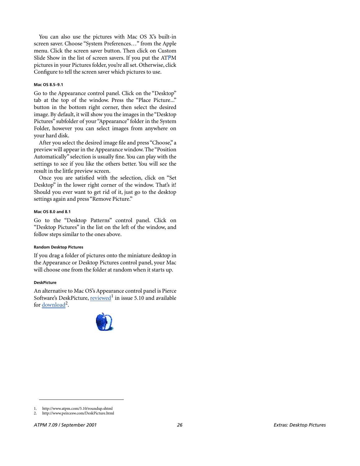You can also use the pictures with Mac OS X's built-in screen saver. Choose "System Preferences…" from the Apple menu. Click the screen saver button. Then click on Custom Slide Show in the list of screen savers. If you put the ATPM pictures in your Pictures folder, you're all set. Otherwise, click Configure to tell the screen saver which pictures to use.

#### **Mac OS 8.5–9.1**

Go to the Appearance control panel. Click on the "Desktop" tab at the top of the window. Press the "Place Picture..." button in the bottom right corner, then select the desired image. By default, it will show you the images in the "Desktop Pictures" subfolder of your "Appearance" folder in the System Folder, however you can select images from anywhere on your hard disk.

After you select the desired image file and press "Choose," a preview will appear in the Appearance window. The "Position Automatically" selection is usually fine. You can play with the settings to see if you like the others better. You will see the result in the little preview screen.

Once you are satisfied with the selection, click on "Set Desktop" in the lower right corner of the window. That's it! Should you ever want to get rid of it, just go to the desktop settings again and press "Remove Picture."

### **Mac OS 8.0 and 8.1**

Go to the "Desktop Patterns" control panel. Click on "Desktop Pictures" in the list on the left of the window, and follow steps similar to the ones above.

## **Random Desktop Pictures**

If you drag a folder of pictures onto the miniature desktop in the Appearance or Desktop Pictures control panel, your Mac will choose one from the folder at random when it starts up.

#### **DeskPicture**

An alternative to Mac OS's Appearance control panel is Pierce Software's DeskPicture, [reviewed](http://www.atpm.com/5.10/roundup.shtml)<sup>1</sup> in issue 5.10 and available for <u>download</u><sup>2</sup>.



<sup>1.</sup> http://www.atpm.com/5.10/roundup.shtml

<sup>2.</sup> http://www.peircesw.com/DeskPicture.html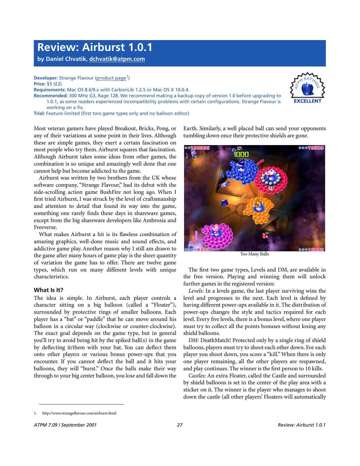# **Review: Airburst 1.0.1**

**by Daniel Chvatik, [dchvatik@atpm.com](mailto:dchvatik@atpm.com)**

**Developer:** Strange Flavour [\(product page](http://www.strangeflavour.com/airburst.html)<sup>1</sup>) **Price:** \$5 (£2) **Requirements:** Mac OS 8.6/9.x with CarbonLib 1.2.5 or Mac OS X 10.0.4.

**Recommended:** 300 MHz G3, Rage 128. We recommend making a backup copy of version 1.0 before upgrading to 1.0.1, as some readers experienced incompatibility problems with certain configurations. Strange Flavour is working on a fix.

**Trial:** Feature-limited (first two game types only and no balloon editor)

Most veteran gamers have played Breakout, Bricks, Pong, or any of their variations at some point in their lives. Although these are simple games, they exert a certain fascination on most people who try them. Airburst squares that fascination. Although Airburst takes some ideas from other games, the combination is so unique and amazingly well done that one cannot help but become addicted to the game.

Airburst was written by two brothers from the UK whose software company, "Strange Flavour," had its debut with the side-scrolling action game BushFire not long ago. When I first tried Airburst, I was struck by the level of craftsmanship and attention to detail that found its way into the game, something one rarely finds these days in shareware games, except from the big shareware developers like Ambrosia and Freeverse.

What makes Airburst a hit is its flawless combination of amazing graphics, well-done music and sound effects, and addictive game play. Another reason why I still am drawn to the game after many hours of game play is the sheer quantity of variation the game has to offer. There are twelve game types, which run on many different levels with unique characteristics.

# **What Is It?**

The idea is simple. In Airburst, each player controls a character sitting on a big balloon (called a "Floater"), surrounded by protective rings of smaller balloons. Each player has a "bat" or "paddle" that he can move around his balloon in a circular way (clockwise or counter-clockwise). The exact goal depends on the game type, but in general you'll try to avoid being hit by the spiked ball(s) in the game by deflecting it/them with your bat. You can deflect them onto other players or various bonus power-ups that you encounter. If you cannot deflect the ball and it hits your balloons, they will "burst." Once the balls make their way through to your big center balloon, you lose and fall down the

Earth. Similarly, a well placed ball can send your opponents tumbling down once their protective shields are gone.



Too Many Balls

The first two game types, Levels and DM, are available in the free version. Playing and winning them will unlock further games in the registered version:

*Levels:* In a levels game, the last player surviving wins the level and progresses to the next. Each level is defined by having different power-ups available in it. The distribution of power-ups changes the style and tactics required for each level. Every five levels, there is a bonus level, where one player must try to collect all the points bonuses without losing any shield balloons.

*DM:* DeathMatch! Protected only by a single ring of shield balloons, players must try to shoot each other down. For each player you shoot down, you score a "kill." When there is only one player remaining, all the other players are respawned, and play continues. The winner is the first person to 10 kills.

*Castles:* An extra Floater, called the Castle and surrounded by shield balloons is set in the center of the play area with a sticker on it. The winner is the player who manages to shoot down the castle (all other players' Floaters will automatically



<sup>1.</sup> http://www.strangeflavour.com/airburst.html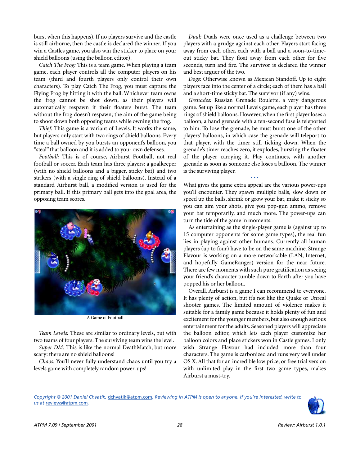burst when this happens). If no players survive and the castle is still airborne, then the castle is declared the winner. If you win a Castles game, you also win the sticker to place on your shield balloons (using the balloon editor).

*Catch The Frog:* This is a team game. When playing a team game, each player controls all the computer players on his team (third and fourth players only control their own characters). To play Catch The Frog, you must capture the Flying Frog by hitting it with the ball. Whichever team owns the frog cannot be shot down, as their players will automatically respawn if their floaters burst. The team without the frog doesn't respawn; the aim of the game being to shoot down both opposing teams while owning the frog.

*Thief:* This game is a variant of Levels. It works the same, but players only start with two rings of shield balloons. Every time a ball owned by you bursts an opponent's balloon, you "steal" that balloon and it is added to your own defenses.

*Football:* This is of course, Airburst Football, not real football or soccer. Each team has three players: a goalkeeper (with no shield balloons and a bigger, sticky bat) and two strikers (with a single ring of shield balloons). Instead of a standard Airburst ball, a modified version is used for the primary ball. If this primary ball gets into the goal area, the opposing team scores.



A Game of Football

*Team Levels:* These are similar to ordinary levels, but with two teams of four players. The surviving team wins the level.

*Super DM:* This is like the normal DeathMatch, but more scary: there are no shield balloons!

*Chaos:* You'll never fully understand chaos until you try a levels game with completely random power-ups!

*Dual:* Duals were once used as a challenge between two players with a grudge against each other. Players start facing away from each other, each with a ball and a soon-to-timeout sticky bat. They float away from each other for five seconds, turn and fire. The survivor is declared the winner and best arguer of the two.

*Dogs:* Otherwise known as Mexican Standoff. Up to eight players face into the center of a circle; each of them has a ball and a short-time sticky bat. The survivor (if any) wins.

*Grenades:* Russian Grenade Roulette, a very dangerous game. Set up like a normal Levels game, each player has three rings of shield balloons. However, when the first player loses a balloon, a hand grenade with a ten-second fuse is teleported to him. To lose the grenade, he must burst one of the other players' balloons, in which case the grenade will teleport to that player, with the timer still ticking down. When the grenade's timer reaches zero, it explodes, bursting the floater of the player carrying it. Play continues, with another grenade as soon as someone else loses a balloon. The winner is the surviving player.

**• • •** What gives the game extra appeal are the various power-ups you'll encounter. They spawn multiple balls, slow down or speed up the balls, shrink or grow your bat, make it sticky so you can aim your shots, give you pop-gun ammo, remove your bat temporarily, and much more. The power-ups can turn the tide of the game in moments.

As entertaining as the single-player game is (against up to 15 computer opponents for some game types), the real fun lies in playing against other humans. Currently all human players (up to four) have to be on the same machine. Strange Flavour is working on a more networkable (LAN, Internet, and hopefully GameRanger) version for the near future. There are few moments with such pure gratification as seeing your friend's character tumble down to Earth after you have popped his or her balloon.

Overall, Airburst is a game I can recommend to everyone. It has plenty of action, but it's not like the Quake or Unreal shooter games. The limited amount of violence makes it suitable for a family game because it holds plenty of fun and excitement for the younger members, but also enough serious entertainment for the adults. Seasoned players will appreciate the balloon editor, which lets each player customize her balloon colors and place stickers won in Castle games. I only wish Strange Flavour had included more than four characters. The game is carbonized and runs very well under OS X. All that for an incredible low price, or free trial version with unlimited play in the first two game types, makes Airburst a must-try.

*Copyright © 2001 Daniel Chvatik,* [dchvatik@atpm.com](mailto:dchvatik@atpm.com)*. Reviewing in ATPM is open to anyone. If you're interested, write to us at* [reviews@atpm.com](mailto:reviews@atpm.com)*.*

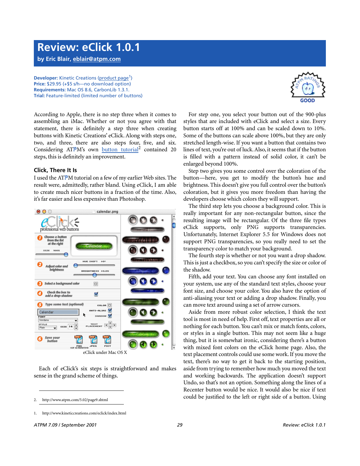# **Review: eClick 1.0.1**

**by Eric Blair, [eblair@atpm.com](mailto:eblair@atpm.com)**

**Developer:** Kinetic Creations ([product page](http://www.kineticcreations.com/eclick/index.html)<sup>1</sup>) **Price:** \$29.95 (+\$5 s/h—no download option) **Requirements:** Mac OS 8.6, CarbonLib 1.3.1. **Trial:** Feature-limited (limited number of buttons)

According to Apple, there is no step three when it comes to assembling an iMac. Whether or not you agree with that statement, there is definitely a step three when creating buttons with Kinetic Creations' eClick. Along with steps one, two, and three, there are also steps four, five, and six. Considering ATPM's own **button** tutorial<sup>2</sup> contained 20 steps, this is definitely an improvement.

# **Click, There It Is**

I used the ATPM tutorial on a few of my earlier Web sites. The result were, admittedly, rather bland. Using eClick, I am able to create much nicer buttons in a fraction of the time. Also, it's far easier and less expensive than Photoshop.



Each of eClick's six steps is straightforward and makes sense in the grand scheme of things.



For step one, you select your button out of the 900-plus styles that are included with eClick and select a size. Every button starts off at 100% and can be scaled down to 10%. Some of the buttons can scale above 100%, but they are only stretched length-wise. If you want a button that contains two lines of text, you're out of luck. Also, it seems that if the button is filled with a pattern instead of solid color, it can't be enlarged beyond 100%.

Step two gives you some control over the coloration of the button—here, you get to modify the button's hue and brightness. This doesn't give you full control over the button's coloration, but it gives you more freedom than having the developers choose which colors they will support.

The third step lets you choose a background color. This is really important for any non-rectangular button, since the resulting image will be rectangular. Of the three file types eClick supports, only PNG supports transparencies. Unfortunately, Internet Explorer 5.5 for Windows does not support PNG transparencies, so you really need to set the transparency color to match your background.

The fourth step is whether or not you want a drop shadow. This is just a checkbox, so you can't specify the size or color of the shadow.

Fifth, add your text. You can choose any font installed on your system, use any of the standard text styles, choose your font size, and choose your color. You also have the option of anti-aliasing your text or adding a drop shadow. Finally, you can move text around using a set of arrow cursors.

Aside from more robust color selection, I think the text tool is most in need of help. First off, text properties are all or nothing for each button. You can't mix or match fonts, colors, or styles in a single button. This may not seem like a huge thing, but it is somewhat ironic, considering there's a button with mixed font colors on the eClick home page. Also, the text placement controls could use some work. If you move the text, there's no way to get it back to the starting position, aside from trying to remember how much you moved the text and working backwards. The application doesn't support Undo, so that's not an option. Something along the lines of a Recenter button would be nice. It would also be nice if text could be justified to the left or right side of a button. Using

<sup>2.</sup> http://www.atpm.com/5.02/page9.shtml

<sup>1.</sup> http://www.kineticcreations.com/eclick/index.html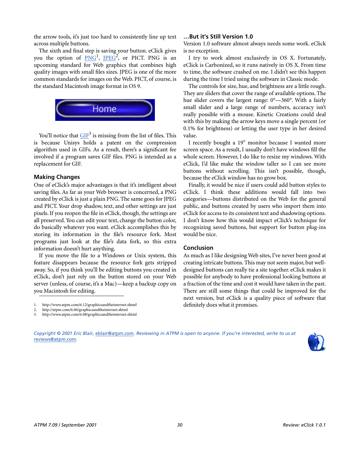the arrow tools, it's just too hard to consistently line up text across multiple buttons.

The sixth and final step is saving your button. eClick gives you the option of  $P\overline{NG}^1$ ,  $[PEG^2]$ , or PICT. PNG is an upcoming standard for Web graphics that combines high quality images with small files sizes. JPEG is one of the more common standards for images on the Web. PICT, of course, is the standard Macintosh image format in OS 9.



You'll notice that  $\overline{\text{GIF}}^3$  $\overline{\text{GIF}}^3$  $\overline{\text{GIF}}^3$  is missing from the list of files. This is because Unisys holds a patent on the compression algorithm used in GIFs. As a result, there's a significant fee involved if a program saves GIF files. PNG is intended as a replacement for GIF.

# **Making Changes**

One of eClick's major advantages is that it's intelligent about saving files. As far as your Web browser is concerned, a PNG created by eClick is just a plain PNG. The same goes for JPEG and PICT. Your drop shadow, text, and other settings are just pixels. If you reopen the file in eClick, though, the settings are all preserved. You can edit your text, change the button color, do basically whatever you want. eClick accomplishes this by storing its information in the file's resource fork. Most programs just look at the file's data fork, so this extra information doesn't hurt anything.

If you move the file to a Windows or Unix system, this feature disappears because the resource fork gets stripped away. So, if you think you'll be editing buttons you created in eClick, don't just rely on the button stored on your Web server (unless, of course, it's a Mac)—keep a backup copy on you Macintosh for editing.

- 1. http://www.atpm.com/6.12/graphicsandtheinternet.shtml
- 2. http://atpm.com/6.06/graphicsandtheinternet.shtml<br>3. http://www.atpm.com/6.08/graphicsandtheinternet.s
- http://www.atpm.com/6.08/graphicsandtheinternet.shtml

# *Copyright © 2001 Eric Blair,* [eblair@atpm.com](mailto:eblair@atpm.com)*. Reviewing in ATPM is open to anyone. If you're interested, write to us at*  [reviews@atpm.com](mailto:reviews@atpm.com)*.*



#### **…But it's Still Version 1.0**

Version 1.0 software almost always needs some work. eClick is no exception.

I try to work almost exclusively in OS X. Fortunately, eClick is Carbonized, so it runs natively in OS X. From time to time, the software crashed on me. I didn't see this happen during the time I tried using the software in Classic mode.

The controls for size, hue, and brightness are a little rough. They are sliders that cover the range of available options. The hue slider covers the largest range: 0°—360°. With a fairly small slider and a large range of numbers, accuracy isn't really possible with a mouse. Kinetic Creations could deal with this by making the arrow keys move a single percent (or 0.1% for brightness) or letting the user type in her desired value.

I recently bought a 19" monitor because I wanted more screen space. As a result, I usually don't have windows fill the whole screen. However, I do like to resize my windows. With eClick, I'd like make the window taller so I can see more buttons without scrolling. This isn't possible, though, because the eClick window has no grow box.

Finally, it would be nice if users could add button styles to eClick. I think these additions would fall into two categories—buttons distributed on the Web for the general public, and buttons created by users who import them into eClick for access to its consistent text and shadowing options. I don't know how this would impact eClick's technique for recognizing saved buttons, but support for button plug-ins would be nice.

# **Conclusion**

As much as I like designing Web sites, I've never been good at creating intricate buttons. This may not seem major, but welldesigned buttons can really tie a site together. eClick makes it possible for anybody to have professional looking buttons at a fraction of the time and cost it would have taken in the past. There are still some things that could be improved for the next version, but eClick is a quality piece of software that definitely does what it promises.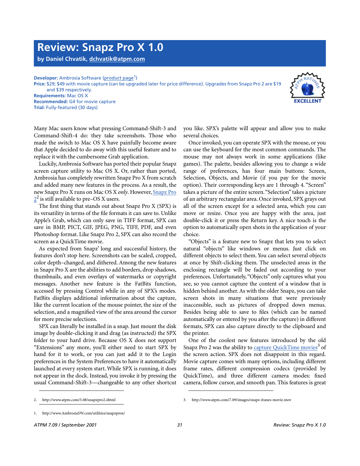# **Review: Snapz Pro X 1.0**

**by Daniel Chvatik, [dchvatik@atpm.com](mailto:dchvatik@atpm.com)**

**Developer:** Ambrosia Software [\(product page](http://www.AmbrosiaSW.com/utilities/snapzprox/)<sup>1</sup>)

**Price:** \$29; \$49 with movie capture (can be upgraded later for price difference). Upgrades from Snapz Pro 2 are \$19 and \$39 respectively.



**Requirements:** Mac OS X **Recommended:** G4 for movie capture **Trial:** Fully-featured (30 days)

Many Mac users know what pressing Command-Shift-3 and Command-Shift-4 do: they take screenshots. Those who made the switch to Mac OS X have painfully become aware that Apple decided to do away with this useful feature and to replace it with the cumbersome Grab application.

Luckily, Ambrosia Software has ported their popular Snapz screen capture utility to Mac OS X. Or, rather than ported, Ambrosia has completely rewritten Snapz Pro X from scratch and added many new features in the process. As a result, the new Snapz Pro X runs on Mac OS X *only*. However, [Snapz Pro](http://www.atpm.com/5.08/snapzpro2.shtml)  $2^2$  $2^2$  is still available to pre-OS X users.

The first thing that stands out about Snapz Pro X (SPX) is its versatility in terms of the file formats it can save to. Unlike Apple's Grab, which can only save in TIFF format, SPX can save in BMP, PICT, GIF, JPEG, PNG, TIFF, PDF, and even Photoshop format. Like Snapz Pro 2, SPX can also record the screen as a QuickTime movie.

As expected from Snapz' long and successful history, the features don't stop here. Screenshots can be scaled, cropped, color depth–changed, and dithered. Among the new features in Snapz Pro X are the abilities to add borders, drop shadows, thumbnails, and even overlays of watermarks or copyright messages. Another new feature is the FatBits function, accessed by pressing Control while in any of SPX's modes. FatBits displays additional information about the capture, like the current location of the mouse pointer, the size of the selection, and a magnified view of the area around the cursor for more precise selections.

SPX can literally be installed in a snap. Just mount the disk image by double-clicking it and drag (as instructed) the SPX folder to your hard drive. Because OS X does not support "Extensions" any more, you'll either need to start SPX by hand for it to work, or you can just add it to the Login preferences in the System Preferences to have it automatically launched at every system start. While SPX is running, it does not appear in the dock. Instead, you invoke it by pressing the usual Command-Shift-3—changeable to any other shortcut

you like. SPX's palette will appear and allow you to make several choices.

Once invoked, you can operate SPX with the mouse, or you can use the keyboard for the most common commands. The mouse may not always work in some applications (like games). The palette, besides allowing you to change a wide range of preferences, has four main buttons: Screen, Selection, Objects, and Movie (if you pay for the movie option). Their corresponding keys are 1 through 4. "Screen" takes a picture of the entire screen. "Selection" takes a picture of an arbitrary rectangular area. Once invoked, SPX grays out all of the screen except for a selected area, which you can move or resize. Once you are happy with the area, just double-click it or press the Return key. A nice touch is the option to automatically open shots in the application of your choice.

"Objects" is a feature new to Snapz that lets you to select natural "objects" like windows or menus. Just click on different objects to select them. You can select several objects at once by Shift-clicking them. The unselected areas in the enclosing rectangle will be faded out according to your preferences. Unfortunately, "Objects" only captures what you see, so you cannot capture the content of a window that is hidden behind another. As with the older Snapz, you can take screen shots in many situations that were previously inaccessible, such as pictures of dropped down menus. Besides being able to save to files (which can be named automatically or entered by you after the capture) in different formats, SPX can also capture directly to the clipboard and the printer.

One of the coolest new features introduced by the old Snapz Pro 2 was the ability to <u>[capture QuickTime movies](http://www.atpm.com/7.09/images/snapz-itunes-movie.mov)</u><sup>3</sup> of the screen action. SPX does not disappoint in this regard. Movie capture comes with many options, including different frame rates, different compression codecs (provided by QuickTime), and three different camera modes: fixed camera, follow cursor, and smooth pan. This features is great

<sup>1.</sup> http://www.AmbrosiaSW.com/utilities/snapzprox/

<sup>2.</sup> http://www.atpm.com/5.08/snapzpro2.shtml 3. http://www.atpm.com/7.09/images/snapz-itunes-movie.mov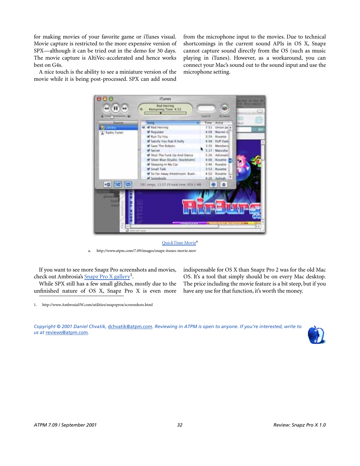for making movies of your favorite game or iTunes visual. Movie capture is restricted to the more expensive version of SPX—although it can be tried out in the demo for 30 days. The movie capture is AltiVec-accelerated and hence works best on G4s.

A nice touch is the ability to see a miniature version of the movie while it is being post-processed. SPX can add sound

from the microphone input to the movies. Due to technical shortcomings in the current sound APIs in OS X, Snapz cannot capture sound directly from the OS (such as music playing in iTunes). However, as a workaround, you can connect your Mac's sound out to the sound input and use the microphone setting.



QuickTime Movie<sup>a</sup>

a. http://www.atpm.com/7.09/images/snapz-itunes-movie.mov

If you want to see more Snapz Pro screenshots and movies, check out Ambrosia's [Snapz Pro X gallery](http://www.AmbrosiaSW.com/utilities/snapzprox/screenshots.html)<sup>1</sup>.

While SPX still has a few small glitches, mostly due to the unfinished nature of OS X, Snapz Pro X is even more indispensable for OS X than Snapz Pro 2 was for the old Mac OS. It's a tool that simply should be on every Mac desktop. The price including the movie feature is a bit steep, but if you have any use for that function, it's worth the money.

*Copyright © 2001 Daniel Chvatik,* [dchvatik@atpm.com](mailto:dchvatik@atpm.com)*. Reviewing in ATPM is open to anyone. If you're interested, write to us at* [reviews@atpm.com](mailto:reviews@atpm.com)*.*



<sup>1.</sup> http://www.AmbrosiaSW.com/utilities/snapzprox/screenshots.html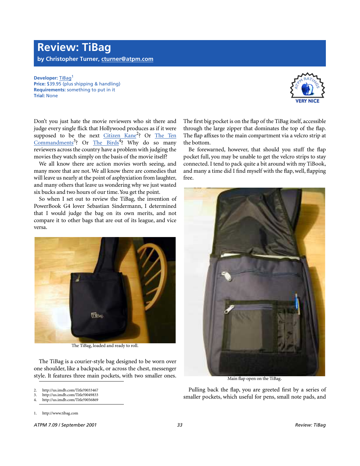# **Review: TiBag by Christopher Turner, [cturner@atpm.com](mailto:jens@grabenstein.de)**

**Developer:** [TiBag](http://www.tibag.com)<sup>1</sup> **Price:** \$39.95 (plus shipping & handling) **Requirements:** something to put in it **Trial:** None

Don't you just hate the movie reviewers who sit there and judge every single flick that Hollywood produces as if it were supposed to be the next Citizen Kane<sup>2</sup>? Or [The Ten](http://us.imdb.com/Title?0049833) [Commandments](http://us.imdb.com/Title?0049833)<sup>3</sup>? Or [The Birds](http://us.imdb.com/Title?0056869)<sup>4</sup>? Why do so many reviewers across the country have a problem with judging the movies they watch simply on the basis of the movie itself?

We all know there are action movies worth seeing, and many more that are not. We all know there are comedies that will leave us nearly at the point of asphyxiation from laughter, and many others that leave us wondering why we just wasted six bucks and two hours of our time. You get the point.

So when I set out to review the TiBag, the invention of PowerBook G4 lover Sebastian Sindermann, I determined that I would judge the bag on its own merits, and not compare it to other bags that are out of its league, and vice versa.



The TiBag, loaded and ready to roll.

The TiBag is a courier-style bag designed to be worn over one shoulder, like a backpack, or across the chest, messenger style. It features three main pockets, with two smaller ones.



The first big pocket is on the flap of the TiBag itself, accessible through the large zipper that dominates the top of the flap. The flap affixes to the main compartment via a velcro strip at the bottom.

Be forewarned, however, that should you stuff the flap pocket full, you may be unable to get the velcro strips to stay connected. I tend to pack quite a bit around with my TiBook, and many a time did I find myself with the flap, well, flapping free.



Main flap open on the TiBag.

Pulling back the flap, you are greeted first by a series of smaller pockets, which useful for pens, small note pads, and

<sup>2.</sup> http://us.imdb.com/Title?0033467

<sup>3.</sup> http://us.imdb.com/Title?0049833

<sup>4.</sup> http://us.imdb.com/Title?0056869

<sup>1.</sup> http://www.tibag.com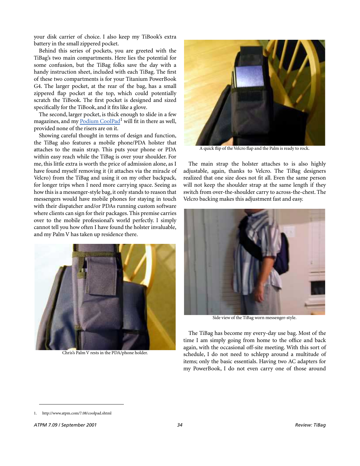your disk carrier of choice. I also keep my TiBook's extra battery in the small zippered pocket.

Behind this series of pockets, you are greeted with the TiBag's two main compartments. Here lies the potential for some confusion, but the TiBag folks save the day with a handy instruction sheet, included with each TiBag. The first of these two compartments is for your Titanium PowerBook G4. The larger pocket, at the rear of the bag, has a small zippered flap pocket at the top, which could potentially scratch the TiBook. The first pocket is designed and sized specifically for the TiBook, and it fits like a glove.

The second, larger pocket, is thick enough to slide in a few magazines, and my [Podium CoolPad](http://www.atpm.com/7.08/coolpad.shtml)<sup>1</sup> will fit in there as well, provided none of the risers are on it.

Showing careful thought in terms of design and function, the TiBag also features a mobile phone/PDA holster that attaches to the main strap. This puts your phone or PDA within easy reach while the TiBag is over your shoulder. For me, this little extra is worth the price of admission alone, as I have found myself removing it (it attaches via the miracle of Velcro) from the TiBag and using it on my other backpack, for longer trips when I need more carrying space. Seeing as how this is a messenger-style bag, it only stands to reason that messengers would have mobile phones for staying in touch with their dispatcher and/or PDAs running custom software where clients can sign for their packages. This premise carries over to the mobile professional's world perfectly. I simply cannot tell you how often I have found the holster invaluable, and my Palm V has taken up residence there.



Chris's Palm V rests in the PDA/phone holder.



A quick flip of the Velcro flap and the Palm is ready to rock.

The main strap the holster attaches to is also highly adjustable, again, thanks to Velcro. The TiBag designers realized that one size does not fit all. Even the same person will not keep the shoulder strap at the same length if they switch from over-the-shoulder carry to across-the-chest. The Velcro backing makes this adjustment fast and easy.



Side view of the TiBag worn messenger-style.

The TiBag has become my every-day use bag. Most of the time I am simply going from home to the office and back again, with the occasional off-site meeting. With this sort of schedule, I do not need to schlepp around a multitude of items; only the basic essentials. Having two AC adapters for my PowerBook, I do not even carry one of those around

<sup>1.</sup> http://www.atpm.com/7.08/coolpad.shtml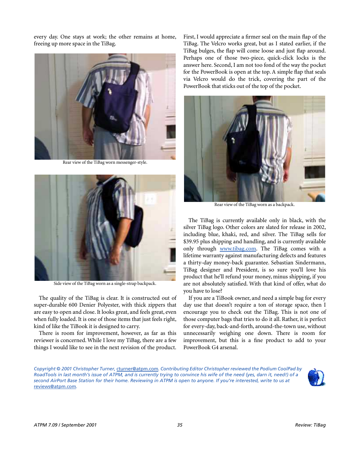every day. One stays at work; the other remains at home, freeing up more space in the TiBag.



Rear view of the TiBag worn messenger-style.



Side view of the TiBag worn as a single-strap backpack.

The quality of the TiBag is clear. It is constructed out of super-durable 600 Denier Polyester, with thick zippers that are easy to open and close. It looks great, and feels great, even when fully loaded. It is one of those items that just feels right, kind of like the TiBook it is designed to carry.

There is room for improvement, however, as far as this reviewer is concerned. While I love my TiBag, there are a few things I would like to see in the next revision of the product.

First, I would appreciate a firmer seal on the main flap of the TiBag. The Velcro works great, but as I stated earlier, if the TiBag bulges, the flap will come loose and just flap around. Perhaps one of those two-piece, quick-click locks is the answer here. Second, I am not too fond of the way the pocket for the PowerBook is open at the top. A simple flap that seals via Velcro would do the trick, covering the part of the PowerBook that sticks out of the top of the pocket.



Rear view of the TiBag worn as a backpack.

The TiBag is currently available only in black, with the silver TiBag logo. Other colors are slated for release in 2002, including blue, khaki, red, and silver. The TiBag sells for \$39.95 plus shipping and handling, and is currently available only through [www.tibag.com.](http://www.tibag.com) The TiBag comes with a lifetime warranty against manufacturing defects and features a thirty-day money-back guarantee. Sebastian Sindermann, TiBag designer and President, is so sure you'll love his product that he'll refund your money, minus shipping, if you are not absolutely satisfied. With that kind of offer, what do you have to lose?

If you are a TiBook owner, and need a simple bag for every day use that doesn't require a ton of storage space, then I encourage you to check out the TiBag. This is not one of those computer bags that tries to do it all. Rather, it is perfect for every-day, back-and-forth, around-the-town use, without unnecessarily weighing one down. There is room for improvement, but this is a fine product to add to your PowerBook G4 arsenal.

*Copyright © 2001 Christopher Turner,* [cturner@atpm.com](mailto:jens@grabenstein.de)*. Contributing Editor Christopher reviewed the Podium CoolPad by RoadTools in last month's issue of ATPM, and is currently trying to convince his wife of the need (yes, darn it, need!) of a second AirPort Base Station for their home. Reviewing in ATPM is open to anyone. If you're interested, write to us at*  [reviews@atpm.com](mailto:reviews@atpm.com)*.*

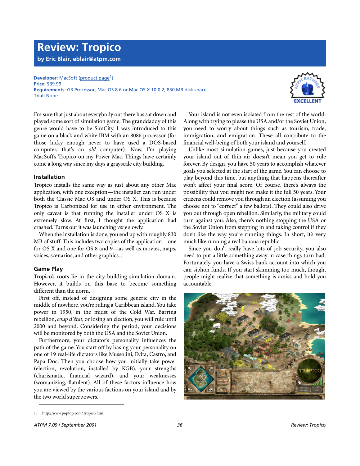# **Review: Tropico by Eric Blair, [eblair@atpm.com](mailto:eblair@atpm.com)**

**Developer:** MacSoft [\(product page](http://www.poptop.com/Tropico.htm)<sup>1</sup>)

**Price:** \$39.99 **Requirements:** G3 Processor, Mac OS 8.6 or Mac OS X 10.0.2, 850 MB disk space. **Trial:** None



I'm sure that just about everybody out there has sat down and played some sort of simulation game. The granddaddy of this genre would have to be SimCity. I was introduced to this game on a black and white IBM with an 8086 processor (for those lucky enough never to have used a DOS-based computer, that's an *old* computer). Now, I'm playing MacSoft's Tropico on my Power Mac. Things have certainly come a long way since my days a grayscale city building.

# **Installation**

Tropico installs the same way as just about any other Mac application, with one exception—the installer can run under both the Classic Mac OS and under OS X. This is because Tropico is Carbonized for use in either environment. The only caveat is that running the installer under OS X is extremely slow. At first, I thought the application had crashed. Turns out it was launching *very* slowly.

When the installation is done, you end up with roughly 830 MB of stuff. This includes two copies of the application—one for OS X and one for OS 8 and 9—as well as movies, maps, voices, scenarios, and other graphics. .

# **Game Play**

Tropico's roots lie in the city building simulation domain. However, it builds on this base to become something different than the norm.

First off, instead of designing some generic city in the middle of nowhere, you're ruling a Caribbean island. You take power in 1950, in the midst of the Cold War. Barring rebellion, *coup d'état*, or losing an election, you will rule until 2000 and beyond. Considering the period, your decisions will be monitored by both the USA and the Soviet Union.

Furthermore, your dictator's personality influences the path of the game. You start off by basing your personality on one of 19 real-life dictators like Mussolini, Evita, Castro, and Papa Doc. Then you choose how you initially take power (election, revolution, installed by KGB), your strengths (charismatic, financial wizard), and your weaknesses (womanizing, flatulent). All of these factors influence how you are viewed by the various factions on your island and by the two world superpowers.

Your island is not even isolated from the rest of the world. Along with trying to please the USA and/or the Soviet Union, you need to worry about things such as tourism, trade, immigration, and emigration. These all contribute to the financial well-being of both your island and yourself.

Unlike most simulation games, just because you created your island out of thin air doesn't mean you get to rule forever. By design, you have 50 years to accomplish whatever goals you selected at the start of the game. You can choose to play beyond this time, but anything that happens thereafter won't affect your final score. Of course, there's always the possibility that you might not make it the full 50 years. Your citizens could remove you through an election (assuming you choose not to "correct" a few ballots). They could also drive you out through open rebellion. Similarly, the military could turn against you. Also, there's nothing stopping the USA or the Soviet Union from stepping in and taking control if they don't like the way you're running things. In short, it's very much like running a real banana republic.

Since you don't really have lots of job security, you also need to put a little something away in case things turn bad. Fortunately, you have a Swiss bank account into which you can siphon funds. If you start skimming too much, though, people might realize that something is amiss and hold you accountable.



<sup>1.</sup> http://www.poptop.com/Tropico.htm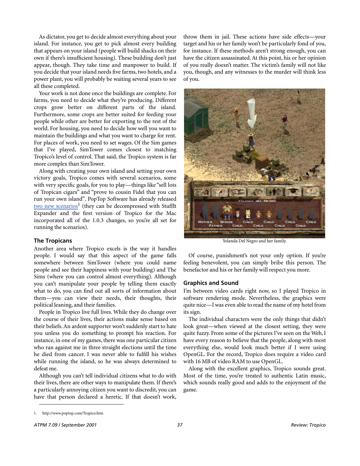As dictator, you get to decide almost everything about your island. For instance, you get to pick almost every building that appears on your island (people will build shacks on their own if there's insufficient housing). These building don't just appear, though. They take time and manpower to build. If you decide that your island needs five farms, two hotels, and a power plant, you will probably be waiting several years to see all these completed.

Your work is not done once the buildings are complete. For farms, you need to decide what they're producing. Different crops grow better on different parts of the island. Furthermore, some crops are better suited for feeding your people while other are better for exporting to the rest of the world. For housing, you need to decide how well you want to maintain the buildings and what you want to charge for rent. For places of work, you need to set wages. Of the Sim games that I've played, SimTower comes closest to matching Tropico's level of control. That said, the Tropico system is far more complex than SimTower.

Along with creating your own island and setting your own victory goals, Tropico comes with several scenarios, some with very specific goals, for you to play—things like "sell lots of Tropican cigars" and "prove to cousin Fidel that you can run your own island". PopTop Software has already released [two new scenarios](http://www.poptop.com/Tropico.htm)<sup>1</sup> (they can be decompressed with StuffIt Expander and the first version of Tropico for the Mac incorporated all of the 1.0.3 changes, so you're all set for running the scenarios).

# **The Tropicans**

Another area where Tropico excels is the way it handles people. I would say that this aspect of the game falls somewhere between SimTower (where you could name people and see their happiness with your building) and The Sims (where you can control almost everything). Although you can't manipulate your people by telling them exactly what to do, you can find out all sorts of information about them—you can view their needs, their thoughts, their political leaning, and their families.

People in Tropico live full lives. While they do change over the course of their lives, their actions make sense based on their beliefs. An ardent supporter won't suddenly start to hate you unless you do something to prompt his reaction. For instance, in one of my games, there was one particular citizen who ran against me in three straight elections until the time he died from cancer. I was never able to fulfill his wishes while running the island, so he was always determined to defeat me.

Although you can't tell individual citizens what to do with their lives, there are other ways to manipulate them. If there's a particularly annoying citizen you want to discredit, you can have that person declared a heretic. If that doesn't work,

throw them in jail. These actions have side effects—your target and his or her family won't be particularly fond of you, for instance. If these methods aren't strong enough, you can have the citizen assassinated. At this point, his or her opinion of you really doesn't matter. The victim's family will not like you, though, and any witnesses to the murder will think less of you.



Yolanda Del Negro and her family.

Of course, punishment's not your only option. If you're feeling benevolent, you can simply bribe this person. The benefactor and his or her family will respect you more.

## **Graphics and Sound**

I'm between video cards right now, so I played Tropico in software rendering mode. Nevertheless, the graphics were quite nice—I was even able to read the name of my hotel from its sign.

The individual characters were the only things that didn't look great—when viewed at the closest setting, they were quite fuzzy. From some of the pictures I've seen on the Web, I have every reason to believe that the people, along with most everything else, would look much better if I were using OpenGL. For the record, Tropico does require a video card with 16 MB of video RAM to use OpenGL.

Along with the excellent graphics, Tropico sounds great. Most of the time, you're treated to authentic Latin music, which sounds really good and adds to the enjoyment of the game.

<sup>1.</sup> http://www.poptop.com/Tropico.htm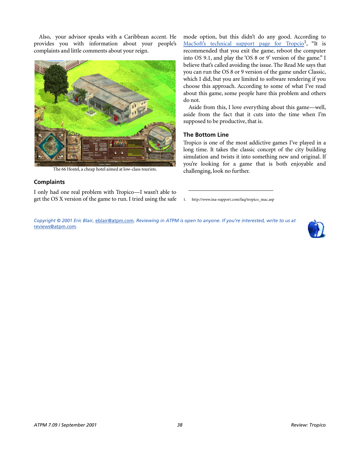Also, your advisor speaks with a Caribbean accent. He provides you with information about your people's complaints and little comments about your reign.



The 66 Hostel, a cheap hotel aimed at low-class tourists.

# **Complaints**

I only had one real problem with Tropico—I wasn't able to get the OS X version of the game to run. I tried using the safe

mode option, but this didn't do any good. According to [MacSoft's technical support page for Tropcio](http://www.ina-support.com/faq/tropico_mac.asp)<sup>1</sup>, "It is recommended that you exit the game, reboot the computer into OS 9.1, and play the 'OS 8 or 9' version of the game." I believe that's called avoiding the issue. The Read Me says that you can run the OS 8 or 9 version of the game under Classic, which I did, but you are limited to software rendering if you choose this approach. According to some of what I've read about this game, some people have this problem and others do not.

Aside from this, I love everything about this game—well, aside from the fact that it cuts into the time when I'm supposed to be productive, that is.

# **The Bottom Line**

Tropico is one of the most addictive games I've played in a long time. It takes the classic concept of the city building simulation and twists it into something new and original. If you're looking for a game that is both enjoyable and challenging, look no further.

1. http://www.ina-support.com/faq/tropico\_mac.asp

*Copyright © 2001 Eric Blair,* [eblair@atpm.com](mailto:eblair@atpm.com)*. Reviewing in ATPM is open to anyone. If you're interested, write to us at*  [reviews@atpm.com](mailto:reviews@atpm.com)*.*

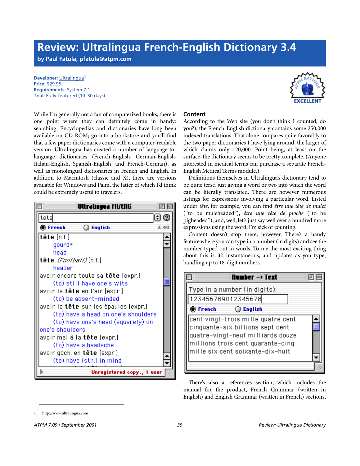# **Review: Ultralingua French-English Dictionary 3.4**

**by Paul Fatula, [pfatula@atpm.com](mailto:pfatula@atpm.com)**

**Developer: [Ultralingua](http://www.ultralingua.com)<sup>1</sup> Price:** \$29.95 **Requirements:** System 7.1 **Trial:** Fully-featured (10–30 days)

While I'm generally not a fan of computerized books, there is one point where they can definitely come in handy: searching. Encyclopedias and dictionaries have long been available on CD-ROM; go into a bookstore and you'll find that a few paper dictionaries come with a computer-readable version. Ultralingua has created a number of language-tolanguage dictionaries (French-English, German-English, Italian-English, Spanish-English, and French-German), as well as monolingual dictionaries in French and English. In addition to Macintosh (classic and X), there are versions available for Windows and Palm, the latter of which I'd think could be extremely useful to travelers.





# **Content**

According to the Web site (you don't think I counted, do you?), the French-English dictionary contains some 250,000 indexed translations. That alone compares quite favorably to the two paper dictionaries I have lying around, the larger of which claims only 120,000. Point being, at least on the surface, the dictionary seems to be pretty complete. (Anyone interested in medical terms can purchase a separate French-English Medical Terms module.)

Definitions themselves in Ultralingua's dictionary tend to be quite terse, just giving a word or two into which the word can be literally translated. There are however numerous listings for expressions involving a particular word. Listed under *tête*, for example, you can find *être une tête de mulet* ("to be muleheaded"), *être une tête de pioche* ("to be pigheaded"), and, well, let's just say well over a hundred more expressions using the word; I'm sick of counting.

Content doesn't stop there, however. There's a handy feature where you can type in a number (in digits) and see the number typed out in words. To me the most exciting thing about this is it's instantaneous, and updates as you type, handling up to 18-digit numbers.



There's also a references section, which includes the manual for the product, French Grammar (written in English) and English Grammar (written in French) sections,

<sup>1.</sup> http://www.ultralingua.com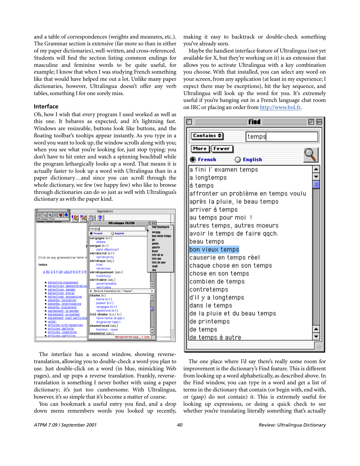and a table of correspondences (weights and measures, etc.). The Grammar section is extensive (far more so than in either of my paper dictionaries), well-written, and cross-referenced. Students will find the section listing common endings for masculine and feminine words to be quite useful, for example; I know that when I was studying French something like that would have helped me out a lot. Unlike many paper dictionaries, however, Ultralingua doesn't offer any verb tables, something I for one sorely miss.

# **Interface**

Oh, how I wish that every program I used worked as well as this one. It behaves as expected, and it's lightning fast. Windows are resizeable, buttons look like buttons, and the floating toolbar's tooltips appear instantly. As you type in a word you want to look up, the window scrolls along with you; when you see what you're looking for, just stop typing: you don't have to hit enter and watch a spinning beachball while the program lethargically looks up a word. That means it is actually faster to look up a word with Ultralingua than in a paper dictionary…and since you can scroll through the whole dictionary, we few (we happy few) who like to browse through dictionaries can do so just as well with Ultralingua's dictionary as with the paper kind.



The interface has a second window, showing reversetranslation, allowing you to double-check a word you plan to use. Just double-click on a word (in blue, mimicking Web pages), and up pops a reverse translation. Frankly, reversetranslation is something I never bother with using a paper dictionary; it's just too cumbersome. With Ultralingua, however, it's so simple that it's become a matter of course.

You can bookmark a useful entry you find, and a drop down menu remembers words you looked up recently,

making it easy to backtrack or double-check something you've already seen.

Maybe the handiest interface feature of Ultralingua (not yet available for X, but they're working on it) is an extension that allows you to activate Ultralingua with a key combination you choose. With that installed, you can select any word on your screen, from any application (at least in my experience; I expect there may be exceptions), hit the key sequence, and Ultralingua will look up the word for you. It's extremely useful if you're hanging out in a French language chat room on IRC or placing an order from<http://www.bol.fr>.



The one place where I'd say there's really some room for improvement is the dictionary's Find feature. This is different from looking up a word alphabetically, as described above. In the Find window, you can type in a word and get a list of terms in the dictionary that contain (or begin with, end with, or (gasp) do not contain) it. This is extremely useful for looking up expressions, or doing a quick check to see whether you're translating literally something that's actually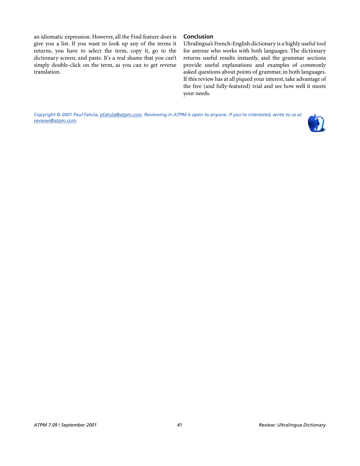an idiomatic expression. However, all the Find feature does is give you a list. If you want to look up any of the terms it returns, you have to select the term, copy it, go to the dictionary screen, and paste. It's a real shame that you can't simply double-click on the term, as you can to get reverse translation.

# **Conclusion**

Ultralingua's French-English dictionary is a highly useful tool for anyone who works with both languages. The dictionary returns useful results instantly, and the grammar sections provide useful explanations and examples of commonly asked questions about points of grammar, in both languages. If this review has at all piqued your interest, take advantage of the free (and fully-featured) trial and see how well it meets your needs.

*Copyright © 2001 Paul Fatula,* [pfatula@atpm.com](mailto:pfatula@atpm.com)*. Reviewing in ATPM is open to anyone. If you're interested, write to us at*  [reviews@atpm.com](mailto:reviews@atpm.com)*.*

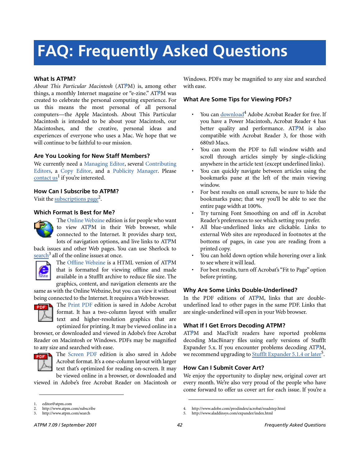# **FAQ: Frequently Asked Questions**

# **What Is ATPM?**

*About This Particular Macintosh* (ATPM) is, among other things, a monthly Internet magazine or "e-zine." ATPM was created to celebrate the personal computing experience. For us this means the most personal of all personal computers—the Apple Macintosh. About This Particular Macintosh is intended to be about your Macintosh, our Macintoshes, and the creative, personal ideas and experiences of everyone who uses a Mac. We hope that we will continue to be faithful to our mission.

# **Are You Looking for New Staff Members?**

We currently need a Managing Editor, several Contributing Editors, a Copy Editor, and a Publicity Manager. Please contact  $us^1$  if you're interested.

# **How Can I Subscribe to ATPM?**

Visit the [subscriptions page](http://www.atpm.com/subscribe)<sup>2</sup>.

# **Which Format Is Best for Me?**



The Online Webzine edition is for people who want to view ATPM in their Web browser, while connected to the Internet. It provides sharp text, lots of navigation options, and live links to ATPM

back issues and other Web pages. You can use Sherlock to  $\frac{\text{search}^3}{\text{all}}$  $\frac{\text{search}^3}{\text{all}}$  $\frac{\text{search}^3}{\text{all}}$  all of the online issues at once.



The Offline Webzine is a HTML version of ATPM that is formatted for viewing offline and made available in a StuffIt archive to reduce file size. The graphics, content, and navigation elements are the

same as with the Online Webzine, but you can view it without being connected to the Internet. It requires a Web browser.



The Print PDF edition is saved in Adobe Acrobat format. It has a two-column layout with smaller text and higher-resolution graphics that are optimized for printing. It may be viewed online in a

browser, or downloaded and viewed in Adobe's free Acrobat Reader on Macintosh or Windows. PDFs may be magnified to any size and searched with ease.



**Ford** The Screen PDF edition is also saved in Adobe Acrobat format. It's a one-column layout with larger text that's optimized for reading on-screen. It may be viewed online in a browser, or downloaded and

viewed in Adobe's free Acrobat Reader on Macintosh or

Windows. PDFs may be magnified to any size and searched with ease.

# **What Are Some Tips for Viewing PDFs?**

- You can [download](http://www.adobe.com/prodindex/acrobat/readstep.html)<sup>4</sup> Adobe Acrobat Reader for free. If you have a Power Macintosh, Acrobat Reader 4 has better quality and performance. ATPM is also compatible with Acrobat Reader 3, for those with 680x0 Macs.
- You can zoom the PDF to full window width and scroll through articles simply by single-clicking anywhere in the article text (except underlined links).
- You can quickly navigate between articles using the bookmarks pane at the left of the main viewing window.
- For best results on small screens, be sure to hide the bookmarks pane; that way you'll be able to see the entire page width at 100%.
- Try turning Font Smoothing on and off in Acrobat Reader's preferences to see which setting you prefer.
- All blue-underlined links are clickable. Links to external Web sites are reproduced in footnotes at the bottoms of pages, in case you are reading from a printed copy.
- You can hold down option while hovering over a link to see where it will lead.
- For best results, turn off Acrobat's "Fit to Page" option before printing.

# **Why Are Some Links Double-Underlined?**

In the PDF editions of ATPM, links that are doubleunderlined lead to other pages in the same PDF. Links that are single-underlined will open in your Web browser.

# **What If I Get Errors Decoding ATPM?**

ATPM and MacFixIt readers have reported problems decoding MacBinary files using early versions of StuffIt Expander 5.x. If you encounter problems decoding ATPM, we recommend upgrading to **StuffIt Expander 5.1.4** or later<sup>5</sup>.

# **How Can I Submit Cover Art?**

We enjoy the opportunity to display new, original cover art every month. We're also very proud of the people who have come forward to offer us cover art for each issue. If you're a

<sup>1.</sup> editor@atpm.com

<sup>2.</sup> http://www.atpm.com/subscribe<br>3. http://www.atpm.com/search

http://www.atpm.com/search

<sup>4.</sup> http://www.adobe.com/prodindex/acrobat/readstep.html

<sup>5.</sup> http://www.aladdinsys.com/expander/index.html